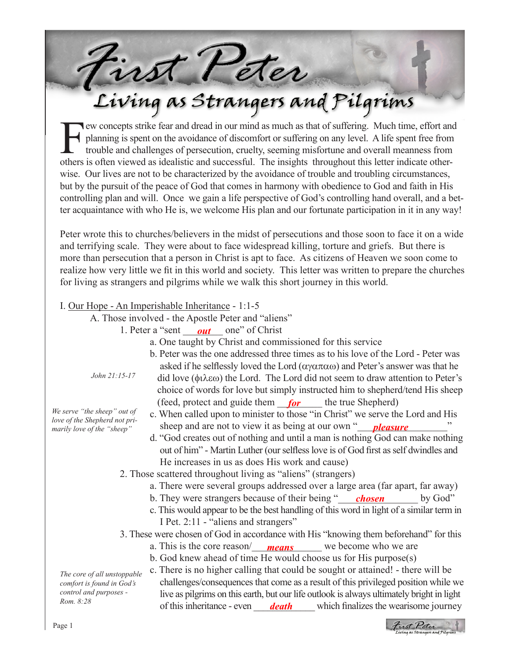# First Peter

Few concepts strike fear and dread in our mind as much as that of suffering. Much time, effort and planning is spent on the avoidance of discomfort or suffering on any level. A life spent free from trouble and challenges o planning is spent on the avoidance of discomfort or suffering on any level. A life spent free from trouble and challenges of persecution, cruelty, seeming misfortune and overall meanness from others is often viewed as idealistic and successful. The insights throughout this letter indicate otherwise. Our lives are not to be characterized by the avoidance of trouble and troubling circumstances, but by the pursuit of the peace of God that comes in harmony with obedience to God and faith in His controlling plan and will. Once we gain a life perspective of God's controlling hand overall, and a better acquaintance with who He is, we welcome His plan and our fortunate participation in it in any way!

Peter wrote this to churches/believers in the midst of persecutions and those soon to face it on a wide and terrifying scale. They were about to face widespread killing, torture and griefs. But there is more than persecution that a person in Christ is apt to face. As citizens of Heaven we soon come to realize how very little we fit in this world and society. This letter was written to prepare the churches for living as strangers and pilgrims while we walk this short journey in this world.

## I. Our Hope - An Imperishable Inheritance - 1:1-5

- A. Those involved the Apostle Peter and "aliens"
- 1. Peter a "sent *out* one" of Christ
	- a. One taught by Christ and commissioned for this service
	- b. Peter was the one addressed three times as to his love of the Lord Peter was asked if he selflessly loved the Lord ( $\alpha \gamma \alpha \pi \alpha \omega$ ) and Peter's answer was that he did love (φιλεω) the Lord. The Lord did not seem to draw attention to Peter's

choice of words for love but simply instructed him to shepherd/tend His sheep

*John 21:15-17*

(feed, protect and guide them **for** the true Shepherd) *We serve "the sheep" out of love of the Shepherd not primarily love of the "sheep"*

- c. When called upon to minister to those "in Christ" we serve the Lord and His sheep and are not to view it as being at our own " *pleasure*
- d. "God creates out of nothing and until a man is nothing God can make nothing out of him" - Martin Luther (our selfless love is of God first as self dwindles and He increases in us as does His work and cause)
- 2. Those scattered throughout living as "aliens" (strangers)
	- a. There were several groups addressed over a large area (far apart, far away)
- b. They were strangers because of their being "*chosen* by God"
	- c. This would appear to be the best handling of this word in light of a similar term in I Pet. 2:11 - "aliens and strangers"
	- 3. These were chosen of God in accordance with His "knowing them beforehand" for this
- a. This is the core reason/*\_\_\_\_\_\_\_\_\_\_\_\_\_\_\_\_\_\_\_\_\_* we become who we are
	- b. God knew ahead of time He would choose us for His purpose(s)

*The core of all unstoppable comfort is found in God's control and purposes - Rom. 8:28*

 c. There is no higher calling that could be sought or attained! - there will be challenges/consequences that come as a result of this privileged position while we live as pilgrims on this earth, but our life outlook is always ultimately bright in light <sup>*death* which finalizes the wearisome journey of this inheritance - even death which finalizes the wearisome journey</sup>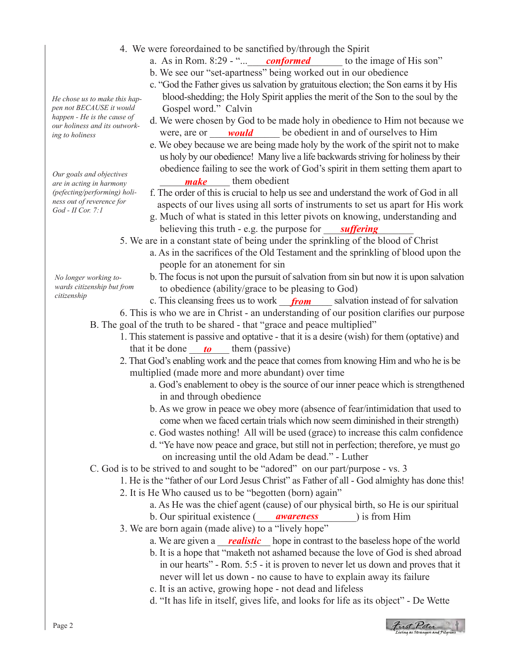- 4. We were foreordained to be sanctified by/through the Spirit
- a. As in Rom. 8:29 "... *conformed* to the image of His son"
	- b. We see our "set-apartness" being worked out in our obedience
	- c. "God the Father gives us salvation by gratuitous election; the Son earns it by His blood-shedding; the Holy Spirit applies the merit of the Son to the soul by the Gospel word." Calvin
- d. We were chosen by God to be made holy in obedience to Him not because we *x to holiness* were, are or *would* be obedient in and of ourselves to Him
- e. We obey because we are being made holy by the work of the spirit not to make us holy by our obedience! Many live a life backwards striving for holiness by their obedience failing to see the work of God's spirit in them setting them apart to *e* in acting in harmony **make** them obedient
	- f. The order of this is crucial to help us see and understand the work of God in all aspects of our lives using all sorts of instruments to set us apart for His work
	- g. Much of what is stated in this letter pivots on knowing, understanding and believing this truth  $-e.g.$  the purpose for *suffering*
	- 5. We are in a constant state of being under the sprinkling of the blood of Christ
		- a. As in the sacrifices of the Old Testament and the sprinkling of blood upon the people for an atonement for sin
		- b. The focus is not upon the pursuit of salvation from sin but now it is upon salvation to obedience (ability/grace to be pleasing to God)
- reasily c. This cleansing frees us to work **from** salvation instead of for salvation
	- 6. This is who we are in Christ an understanding of our position clarifies our purpose
	- B. The goal of the truth to be shared that "grace and peace multiplied"
		- 1. This statement is passive and optative that it is a desire (wish) for them (optative) and that it be done <u>to them</u> (passive)
		- 2. That God's enabling work and the peace that comes from knowing Him and who he is be multiplied (made more and more abundant) over time
			- a. God's enablement to obey is the source of our inner peace which is strengthened in and through obedience
			- b. As we grow in peace we obey more (absence of fear/intimidation that used to come when we faced certain trials which now seem diminished in their strength)
			- c. God wastes nothing! All will be used (grace) to increase this calm confidence
			- d. "Ye have now peace and grace, but still not in perfection; therefore, ye must go on increasing until the old Adam be dead." - Luther
	- C. God is to be strived to and sought to be "adored" on our part/purpose vs. 3
		- 1. He is the "father of our Lord Jesus Christ" as Father of all God almighty has done this!
			- 2. It is He Who caused us to be "begotten (born) again"
				- a. As He was the chief agent (cause) of our physical birth, so He is our spiritual
				- b. Our spiritual existence (*awareness* ) is from Him
			- 3. We are born again (made alive) to a "lively hope"
- a. We are given a *realistic* hope in contrast to the baseless hope of the world
	- b. It is a hope that "maketh not ashamed because the love of God is shed abroad in our hearts" - Rom. 5:5 - it is proven to never let us down and proves that it never will let us down - no cause to have to explain away its failure
	- c. It is an active, growing hope not dead and lifeless
	- d. "It has life in itself, gives life, and looks for life as its object" De Wette

First Peter<br>Eiving as strangers and Pilgrin

*He chose us to make this happen not BECAUSE it would happen - He is the cause of our holiness and its outworking to holiness*

*Our goals and objectives are in acting in harmony (pefecting/performing) holiness out of reverence for God - II Cor. 7:1*

*No longer working towards citizenship but from* 

*citizenship*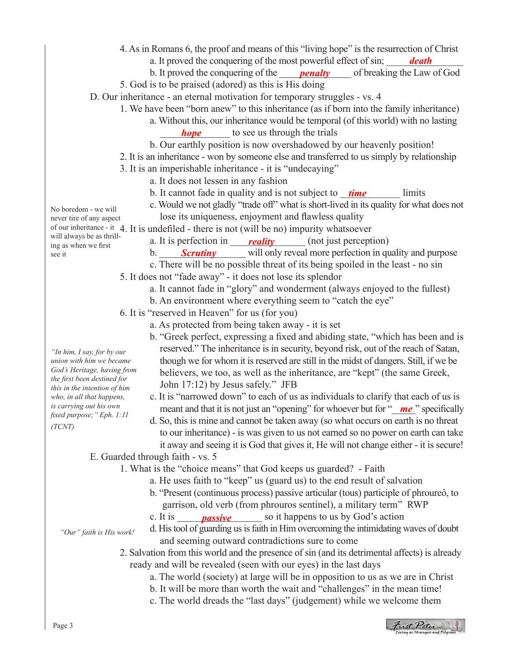- 4. As in Romans 6, the proof and means of this "living hope" is the resurrection of Christ a. It proved the conquering of the most powerful effect of sin; *death*
- b. It proved the conquering of the **penalty** of breaking the Law of God
	- 5. God is to be praised (adored) as this is His doing
	- D. Our inheritance an eternal motivation for temporary struggles vs. 4
		- 1. We have been "born anew" to this inheritance (as if born into the family inheritance)
- a. Without this, our inheritance would be temporal (of this world) with no lasting **hope** to see us through the trials
	- b. Our earthly position is now overshadowed by our heavenly position!
	- 2. It is an inheritance won by someone else and transferred to us simply by relationship
	- 3. It is an imperishable inheritance it is "undecaying"
		- a. It does not lessen in any fashion
- b. It cannot fade in quality and is not subject to *time* limits
	- c. Would we not gladly "trade off" what is short-lived in its quality for what does not lose its uniqueness, enjoyment and flawless quality
- of our inheritance it 4. It is undefiled there is not (will be no) impurity whatsoever
- a. It is perfection in *reality* (not just perception) will always be as thrilling as when we first
	- it b. **Scrutiny** will only reveal more perfection in quality and purpose
		- c. There will be no possible threat of its being spoiled in the least no sin
		- 5. It does not "fade away" it does not lose its splendor
			- a. It cannot fade in "glory" and wonderment (always enjoyed to the fullest)
			- b. An environment where everything seem to "catch the eye"
		- 6. It is "reserved in Heaven" for us (for you)
			- a. As protected from being taken away it is set
			- b. "Greek perfect, expressing a fixed and abiding state, "which has been and is reserved." The inheritance is in security, beyond risk, out of the reach of Satan, though we for whom it is reserved are still in the midst of dangers. Still, if we be believers, we too, as well as the inheritance, are "kept" (the same Greek, John 17:12) by Jesus safely." JFB
			- c. It is "narrowed down" to each of us as individuals to clarify that each of us is meant and that it is not just an "opening" for whoever but for "*me*" specifically
			- d. So, this is mine and cannot be taken away (so what occurs on earth is no threat to our inheritance) - is was given to us not earned so no power on earth can take it away and seeing it is God that gives it, He will not change either - it is secure!

E. Guarded through faith - vs. 5

- 1. What is the "choice means" that God keeps us guarded? Faith
	- a. He uses faith to "keep" us (guard us) to the end result of salvation
	- b. "Present (continuous process) passive articular (tous) participle of phroureô, to garrison, old verb (from phrouros sentinel), a military term" RWP
- c. It is \_\_\_\_\_\_\_\_\_\_\_\_\_\_\_\_\_ so it happens to us by God's action *passive*

*"Our" faith is His work!*

- d. His tool of guarding us is faith in Him overcoming the intimidating waves of doubt and seeming outward contradictions sure to come
- 2. Salvation from this world and the presence of sin (and its detrimental affects) is already ready and will be revealed (seen with our eyes) in the last days
	- a. The world (society) at large will be in opposition to us as we are in Christ
	- b. It will be more than worth the wait and "challenges" in the mean time!
	- c. The world dreads the "last days" (judgement) while we welcome them



*"In him, I say, for by our union with him we became God's Heritage, having from the first been destined for this in the intention of him who, in all that happens, is carrying out his own fixed purpose;" Eph. 1:11* 

No boredom - we will never tire of any aspect

see it

*(TCNT)*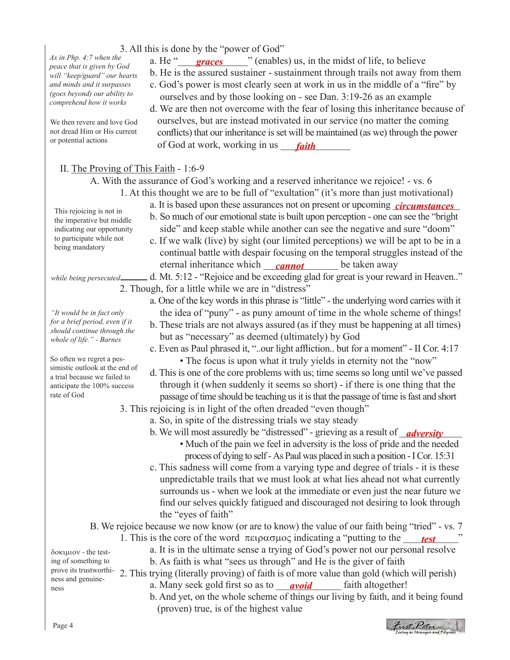δοκιµιον - the testing of something to prove its trustworthiness and genuineness

- 3. All this is done by the "power of God"
	- a. He "**graces** " (enables) us, in the midst of life, to believe
	- b. He is the assured sustainer sustainment through trails not away from them
		- c. God's power is most clearly seen at work in us in the middle of a "fire" by ourselves and by those looking on - see Dan. 3:19-26 as an example
- d. We are then not overcome with the fear of losing this inheritance because of ourselves, but are instead motivated in our service (no matter the coming conflicts) that our inheritance is set will be maintained (as we) through the power of God at work, working in us **faith**

# II. The Proving of This Faith - 1:6-9

A. With the assurance of God's working and a reserved inheritance we rejoice! - vs. 6 1. At this thought we are to be full of "exultation" (it's more than just motivational)

- a. It is based upon these assurances not on present or upcoming *circumstances* 
	- b. So much of our emotional state is built upon perception one can see the "bright side" and keep stable while another can see the negative and sure "doom"
- c. If we walk (live) by sight (our limited perceptions) we will be apt to be in a continual battle with despair focusing on the temporal struggles instead of the eternal inheritance which **cannot** be taken away

 d. Mt. 5:12 - "Rejoice and be exceeding glad for great is your reward in Heaven.." 2. Though, for a little while we are in "distress"

- a. One of the key words in this phrase is "little" the underlying word carries with it the idea of "puny" - as puny amount of time in the whole scheme of things!
- b. These trials are not always assured (as if they must be happening at all times) but as "necessary" as deemed (ultimately) by God
- c. Even as Paul phrased it, "..our light affliction.. but for a moment" II Cor. 4:17 • The focus is upon what it truly yields in eternity not the "now"
- d. This is one of the core problems with us; time seems so long until we've passed through it (when suddenly it seems so short) - if there is one thing that the passage of time should be teaching us it is that the passage of time is fast and short 3. This rejoicing is in light of the often dreaded "even though"
	- - a. So, in spite of the distressing trials we stay steady
- b. We will most assuredly be "distressed" grieving as a result of *\_\_\_\_\_\_\_\_\_\_\_\_\_\_\_\_* • Much of the pain we feel in adversity is the loss of pride and the needed process of dying to self - As Paul was placed in such a position - I Cor. 15:31
	- c. This sadness will come from a varying type and degree of trials it is these unpredictable trails that we must look at what lies ahead not what currently surrounds us - when we look at the immediate or even just the near future we find our selves quickly fatigued and discouraged not desiring to look through the "eyes of faith"

B. We rejoice because we now know (or are to know) the value of our faith being "tried" - vs. 7

- 1. This is the core of the word  $\pi \epsilon \rho \alpha \sigma \mu o \varsigma$  indicating a "putting to the *test*
	- a. It is in the ultimate sense a trying of God's power not our personal resolve b. As faith is what "sees us through" and He is the giver of faith

2. This trying (literally proving) of faith is of more value than gold (which will perish)

a. Many seek gold first so as to \_\_\_\_\_\_\_\_\_\_\_\_\_ faith altogether! *avoid*

 b. And yet, on the whole scheme of things our living by faith, and it being found (proven) true, is of the highest value



This rejoicing is not in the imperative but middle indicating our opportunity to participate while not being mandatory

*will "keep/guard" our hearts and minds and it surpasses (goes beyond) our ability to comprehend how it works*

We then revere and love God not dread Him or His current

or potential actions

*while being persecuted*

*"It would be in fact only for a brief period, even if it should continue through the whole of life." - Barnes*

So often we regret a pessimistic outlook at the end of a trial because we failed to anticipate the 100% success rate of God

*As in Php. 4:7 when the peace that is given by God*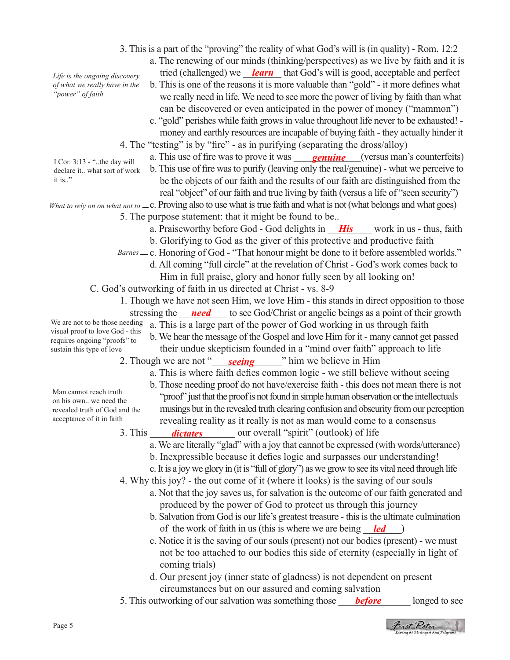- 3. This is a part of the "proving" the reality of what God's will is (in quality) Rom. 12:2
	- a. The renewing of our minds (thinking/perspectives) as we live by faith and it is tried (challenged) we **Learn** that God's will is good, acceptable and perfect
	- b. This is one of the reasons it is more valuable than "gold" it more defines what we really need in life. We need to see more the power of living by faith than what can be discovered or even anticipated in the power of money ("mammon")
- c. "gold" perishes while faith grows in value throughout life never to be exhausted! money and earthly resources are incapable of buying faith - they actually hinder it 4. The "testing" is by "fire" - as in purifying (separating the dross/alloy)
	- a. This use of fire was to prove it was *genuine* (versus man's counterfeits)
	- b. This use of fire was to purify (leaving only the real/genuine) what we perceive to be the objects of our faith and the results of our faith are distinguished from the real "object" of our faith and true living by faith (versus a life of "seen security")

What to rely on on what not to  $\bot$  c. Proving also to use what is true faith and what is not (what belongs and what goes) 5. The purpose statement: that it might be found to be..

- a. Praiseworthy before God God delights in **His** work in us thus, faith
	- b. Glorifying to God as the giver of this protective and productive faith
- c. Honoring of God "That honour might be done to it before assembled worlds." *Barnes*
	- d. All coming "full circle" at the revelation of Christ God's work comes back to Him in full praise, glory and honor fully seen by all looking on!
	- C. God's outworking of faith in us directed at Christ vs. 8-9
- 1. Though we have not seen Him, we love Him this stands in direct opposition to those stressing the <u>need</u> to see God/Christ or angelic beings as a point of their growth We are not to be those needing
- a. This is a large part of the power of God working in us through faith visual proof to love God - this
- b. We hear the message of the Gospel and love Him for it many cannot get passed their undue skepticism founded in a "mind over faith" approach to life requires ongoing "proofs" to
	- 2. Though we are not "**seeing**" him we believe in Him
		- a. This is where faith defies common logic we still believe without seeing
		- b. Those needing proof do not have/exercise faith this does not mean there is not "proof" just that the proof is not found in simple human observation or the intellectuals musings but in the revealed truth clearing confusion and obscurity from our perception revealing reality as it really is not as man would come to a consensus
		- 3. This *dictates* our overall "spirit" (outlook) of life *dictates*
			- a. We are literally "glad" with a joy that cannot be expressed (with words/utterance)
			- b. Inexpressible because it defies logic and surpasses our understanding!
			- c. It is a joy we glory in (it is "full of glory") as we grow to see its vital need through life
		- 4. Why this joy? the out come of it (where it looks) is the saving of our souls
			- a. Not that the joy saves us, for salvation is the outcome of our faith generated and produced by the power of God to protect us through this journey
			- b. Salvation from God is our life's greatest treasure this is the ultimate culmination of the work of faith in us (this is where we are being *led*)
			- c. Notice it is the saving of our souls (present) not our bodies (present) we must not be too attached to our bodies this side of eternity (especially in light of coming trials)
			- d. Our present joy (inner state of gladness) is not dependent on present circumstances but on our assured and coming salvation
	- 5. This outworking of our salvation was something those **before** and longed to see

First Peter

*Life is the ongoing discovery of what we really have in the "power" of faith*

I Cor. 3:13 - "..the day will declare it.. what sort of work

sustain this type of love

Man cannot reach truth on his own.. we need the revealed truth of God and the acceptance of it in faith

it is.."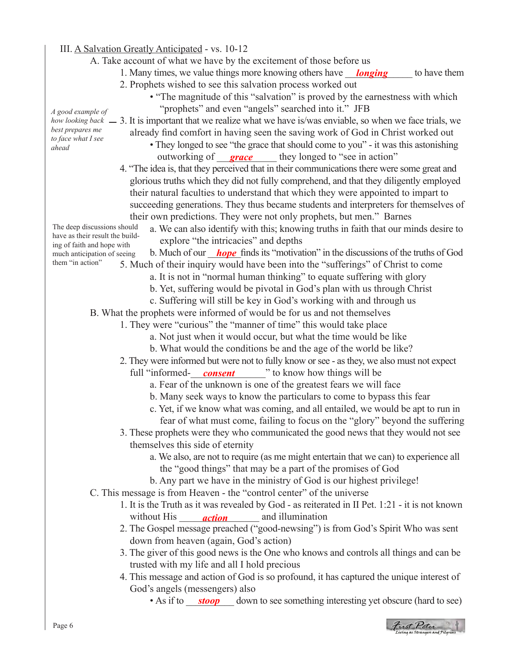#### III. A Salvation Greatly Anticipated - vs. 10-12

- A. Take account of what we have by the excitement of those before us
- 1. Many times, we value things more knowing others have *Longing* to have them
	- 2. Prophets wished to see this salvation process worked out
		- "The magnitude of this "salvation" is proved by the earnestness with which "prophets" and even "angels" searched into it." JFB

# *A good example of*

- *best prepares me to face what I see ahead*
- 3. It is important that we realize what we have is/was enviable, so when we face trials, we *how looking back*  already find comfort in having seen the saving work of God in Christ worked out
	- They longed to see "the grace that should come to you" it was this astonishing outworking of **grace** they longed to "see in action"
		- 4. "The idea is, that they perceived that in their communications there were some great and glorious truths which they did not fully comprehend, and that they diligently employed their natural faculties to understand that which they were appointed to impart to succeeding generations. They thus became students and interpreters for themselves of their own predictions. They were not only prophets, but men." Barnes

The deep discussions should have as their result the building of faith and hope with much anticipation of seeing them "in action"

- a. We can also identify with this; knowing truths in faith that our minds desire to explore "the intricacies" and depths
- b. Much of our *hope* finds its "motivation" in the discussions of the truths of God
- 5. Much of their inquiry would have been into the "sufferings" of Christ to come
	- a. It is not in "normal human thinking" to equate suffering with glory
	- b. Yet, suffering would be pivotal in God's plan with us through Christ
- c. Suffering will still be key in God's working with and through us
- B. What the prophets were informed of would be for us and not themselves
	- 1. They were "curious" the "manner of time" this would take place
		- a. Not just when it would occur, but what the time would be like
		- b. What would the conditions be and the age of the world be like?
	- 2. They were informed but were not to fully know or see as they, we also must not expect
- full "informed-*consent*" to know how things will be
	- a. Fear of the unknown is one of the greatest fears we will face
	- b. Many seek ways to know the particulars to come to bypass this fear
	- c. Yet, if we know what was coming, and all entailed, we would be apt to run in fear of what must come, failing to focus on the "glory" beyond the suffering
	- 3. These prophets were they who communicated the good news that they would not see themselves this side of eternity
		- a. We also, are not to require (as me might entertain that we can) to experience all the "good things" that may be a part of the promises of God
		- b. Any part we have in the ministry of God is our highest privilege!
	- C. This message is from Heaven the "control center" of the universe
- 1. It is the Truth as it was revealed by God as reiterated in II Pet. 1:21 it is not known without His <u>cartion</u> and illumination
	- 2. The Gospel message preached ("good-newsing") is from God's Spirit Who was sent down from heaven (again, God's action)
	- 3. The giver of this good news is the One who knows and controls all things and can be trusted with my life and all I hold precious
	- 4. This message and action of God is so profound, it has captured the unique interest of God's angels (messengers) also
		- As if to *\_\_\_\_\_\_\_\_\_\_\_\_\_\_* down to see something interesting yet obscure (hard to see)

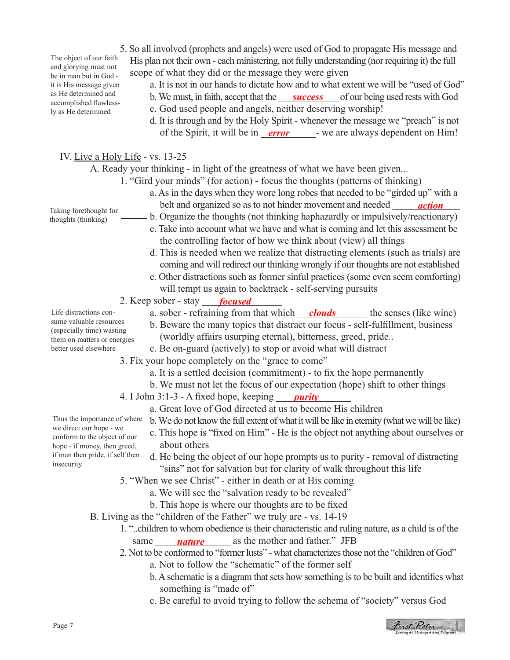5. So all involved (prophets and angels) were used of God to propagate His message and His plan not their own - each ministering, not fully understanding (nor requiring it) the full scope of what they did or the message they were given a. It is not in our hands to dictate how and to what extent we will be "used of God" He determined and b. We must, in faith, accept that the *success* of our being used rests with God c. God used people and angels, neither deserving worship! d. It is through and by the Holy Spirit - whenever the message we "preach" is not of the Spirit, it will be in <u>error</u> - we are always dependent on Him! IV. Live a Holy Life - vs. 13-25 A. Ready your thinking - in light of the greatness of what we have been given... 1. "Gird your minds" (for action) - focus the thoughts (patterns of thinking) a. As in the days when they wore long robes that needed to be "girded up" with a belt and organized so as to not hinder movement and needed *action* b. Organize the thoughts (not thinking haphazardly or impulsively/reactionary) c. Take into account what we have and what is coming and let this assessment be the controlling factor of how we think about (view) all things d. This is needed when we realize that distracting elements (such as trials) are coming and will redirect our thinking wrongly if our thoughts are not established e. Other distractions such as former sinful practices (some even seem comforting) will tempt us again to backtrack - self-serving pursuits 2. Keep sober - stay \_\_\_\_\_\_\_\_\_\_\_\_\_\_\_\_ a. sober - refraining from that which *clouds* the senses (like wine) b. Beware the many topics that distract our focus - self-fulfillment, business (worldly affairs usurping eternal), bitterness, greed, pride.. c. Be on-guard (actively) to stop or avoid what will distract 3. Fix your hope completely on the "grace to come" a. It is a settled decision (commitment) - to fix the hope permanently b. We must not let the focus of our expectation (hope) shift to other things 4. I John 3:1-3 - A fixed hope, keeping \_\_\_\_\_\_\_\_\_\_\_\_\_\_\_ *purity* a. Great love of God directed at us to become His children b. We do not know the full extent of what it will be like in eternity (what we will be like) c. This hope is "fixed on Him" - He is the object not anything about ourselves or hope - if money, then greed, about others d. He being the object of our hope prompts us to purity - removal of distracting "sins" not for salvation but for clarity of walk throughout this life 5. "When we see Christ" - either in death or at His coming a. We will see the "salvation ready to be revealed" b. This hope is where our thoughts are to be fixed B. Living as the "children of the Father" we truly are - vs. 14-19 1. "..children to whom obedience is their characteristic and ruling nature, as a child is of the same **nature** as the mother and father." JFB 2. Not to be conformed to "former lusts" - what characterizes those not the "children of God" a. Not to follow the "schematic" of the former self b. A schematic is a diagram that sets how something is to be built and identifies what something is "made of" c. Be careful to avoid trying to follow the schema of "society" versus God The object of our faith and glorying must not be in man but in God it is His message given as He determined and accomplished flawlessly as He determined Taking forethought for thoughts (thinking) Life distractions consume valuable resources (especially time) wasting them on matters or energies better used elsewhere Thus the importance of where we direct our hope - we conform to the object of our if man then pride, if self then insecurity *focused nature*



Page 7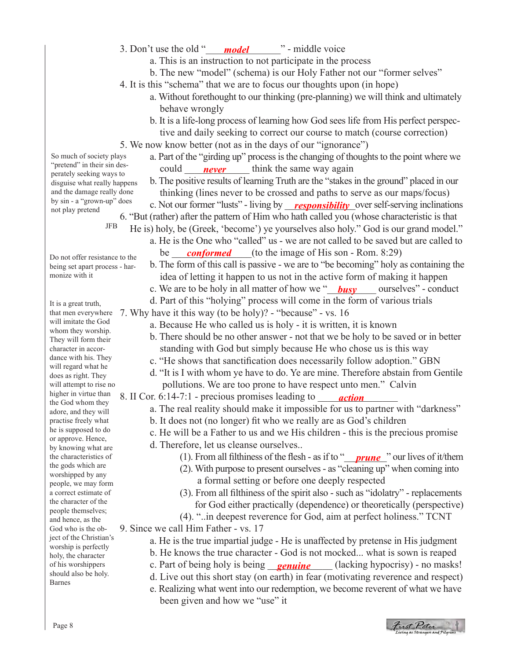- 3. Don't use the old "*model* " middle voice
	- a. This is an instruction to not participate in the process
	- b. The new "model" (schema) is our Holy Father not our "former selves"
	- 4. It is this "schema" that we are to focus our thoughts upon (in hope)
		- a. Without forethought to our thinking (pre-planning) we will think and ultimately behave wrongly
		- b. It is a life-long process of learning how God sees life from His perfect perspec tive and daily seeking to correct our course to match (course correction)
	- 5. We now know better (not as in the days of our "ignorance")
- a. Part of the "girding up" process is the changing of thoughts to the point where we etend in their sin des-<br> **never** think the same way again
	- b. The positive results of learning Truth are the "stakes in the ground" placed in our thinking (lines never to be crossed and paths to serve as our maps/focus)
- $\frac{\text{sn} \text{a}}{\text{grown}}$  and  $\frac{\text{grown}}{\text{u}}$  are  $\frac{\text{r}}{\text{grown}}$  c. Not our former "lusts" living by **responsibility** over self-serving inclinations 6. "But (rather) after the pattern of Him who hath called you (whose characteristic is that
	- He is) holy, be (Greek, 'become') ye yourselves also holy." God is our grand model." JFB
		- a. He is the One who "called" us we are not called to be saved but are called to be *conformed* (to the image of His son - Rom. 8:29)
			- b. The form of this call is passive we are to "be becoming" holy as containing the idea of letting it happen to us not in the active form of making it happen
- c. We are to be holy in all matter of how we "*busy* ourselves" conduct
	- d. Part of this "holying" process will come in the form of various trials
- that men everywhere 7. Why have it this way (to be holy)? "because" vs. 16
	- a. Because He who called us is holy it is written, it is known
	- b. There should be no other answer not that we be holy to be saved or in better standing with God but simply because He who chose us is this way
	- c. "He shows that sanctification does necessarily follow adoption." GBN
	- d. "It is I with whom ye have to do. Ye are mine. Therefore abstain from Gentile pollutions. We are too prone to have respect unto men." Calvin
	- $\frac{1}{2}$  S. II Cor. 6:14-7:1 precious promises leading to  $\frac{action}{\frac{action}{\frac{1}{2}}$ 
		- a. The real reality should make it impossible for us to partner with "darkness"
		- b. It does not (no longer) fit who we really are as God's children
		- c. He will be a Father to us and we His children this is the precious promise
		- d. Therefore, let us cleanse ourselves..
			- (1). From all filthiness of the flesh as if to "*\_\_\_\_\_\_\_\_\_\_\_\_*" our lives of it/them
			- (2). With purpose to present ourselves as "cleaning up" when coming into a formal setting or before one deeply respected
			- (3). From all filthiness of the spirit also such as "idolatry" replacements for God either practically (dependence) or theoretically (perspective)
			- (4). "..in deepest reverence for God, aim at perfect holiness." TCNT
		- 9. Since we call Him Father vs. 17
			- a. He is the true impartial judge He is unaffected by pretense in His judgment
			- b. He knows the true character God is not mocked... what is sown is reaped
			- c. Part of being holy is being *genuine* (lacking hypocrisy) no masks!
			- d. Live out this short stay (on earth) in fear (motivating reverence and respect)
			- e. Realizing what went into our redemption, we become reverent of what we have been given and how we "use" it

So much of society plays "pretend" in their sin desperately seeking ways to disguise what really happens and the damage really done by sin - a "grown-up" does not play pretend

Do not offer resistance to the being set apart process - harmonize with it

It is a great truth, will imitate the God whom they worship. They will form their character in accordance with his. They will regard what he does as right. They will attempt to rise no higher in virtue than the God whom they adore, and they will practise freely what he is supposed to do or approve. Hence, by knowing what are the characteristics of the gods which are worshipped by any people, we may form a correct estimate of the character of the people themselves; and hence, as the God who is the object of the Christian's worship is perfectly holy, the character of his worshippers should also be holy. Barnes

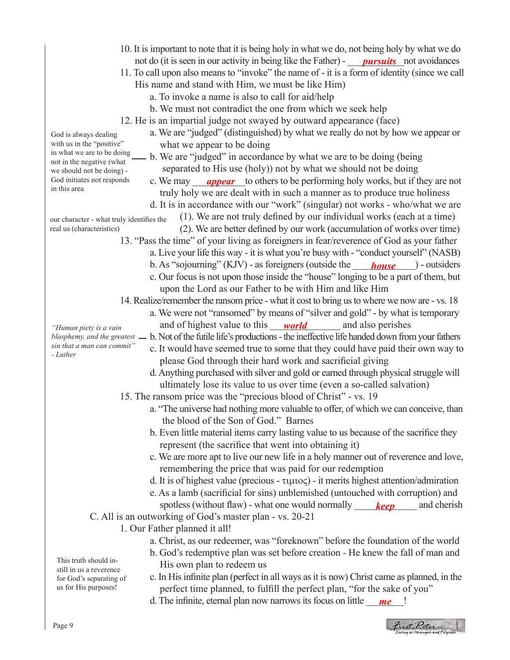|                                                         | 10. It is important to note that it is being holy in what we do, not being holy by what we do<br>not do (it is seen in our activity in being like the Father) - pursuits not avoidances<br>11. To call upon also means to "invoke" the name of - it is a form of identity (since we call |
|---------------------------------------------------------|------------------------------------------------------------------------------------------------------------------------------------------------------------------------------------------------------------------------------------------------------------------------------------------|
|                                                         | His name and stand with Him, we must be like Him)                                                                                                                                                                                                                                        |
|                                                         | a. To invoke a name is also to call for aid/help                                                                                                                                                                                                                                         |
|                                                         | b. We must not contradict the one from which we seek help                                                                                                                                                                                                                                |
|                                                         | 12. He is an impartial judge not swayed by outward appearance (face)                                                                                                                                                                                                                     |
| God is always dealing                                   | a. We are "judged" (distinguished) by what we really do not by how we appear or                                                                                                                                                                                                          |
| with us in the "positive"<br>in what we are to be doing | what we appear to be doing                                                                                                                                                                                                                                                               |
| not in the negative (what                               | b. We are "judged" in accordance by what we are to be doing (being<br>separated to His use (holy)) not by what we should not be doing                                                                                                                                                    |
| we should not be doing) -<br>God initiates not responds | c. We may <b><i>appear</i></b> to others to be performing holy works, but if they are not                                                                                                                                                                                                |
| in this area                                            | truly holy we are dealt with in such a manner as to produce true holiness                                                                                                                                                                                                                |
|                                                         | d. It is in accordance with our "work" (singular) not works - who/what we are                                                                                                                                                                                                            |
| our character - what truly identifies the               | (1). We are not truly defined by our individual works (each at a time)                                                                                                                                                                                                                   |
| real us (characteristics)                               | (2). We are better defined by our work (accumulation of works over time)                                                                                                                                                                                                                 |
|                                                         | 13. "Pass the time" of your living as foreigners in fear/reverence of God as your father                                                                                                                                                                                                 |
|                                                         | a. Live your life this way - it is what you're busy with - "conduct yourself" (NASB)                                                                                                                                                                                                     |
|                                                         | b. As "sojourning" (KJV) - as foreigners (outside the <i>house</i> ) - outsiders                                                                                                                                                                                                         |
|                                                         | c. Our focus is not upon those inside the "house" longing to be a part of them, but                                                                                                                                                                                                      |
|                                                         | upon the Lord as our Father to be with Him and like Him                                                                                                                                                                                                                                  |
|                                                         | 14. Realize/remember the ransom price - what it cost to bring us to where we now are - vs. 18<br>a. We were not "ransomed" by means of "silver and gold" - by what is temporary                                                                                                          |
|                                                         | and of highest value to this <b><i>world</i></b> and also perishes                                                                                                                                                                                                                       |
| "Human piety is a vain<br>blasphemy, and the greatest - | b. Not of the futile life's productions - the ineffective life handed down from your fathers                                                                                                                                                                                             |
| sin that a man can commit"                              | c. It would have seemed true to some that they could have paid their own way to                                                                                                                                                                                                          |
| - Luther                                                | please God through their hard work and sacrificial giving                                                                                                                                                                                                                                |
|                                                         | d. Anything purchased with silver and gold or earned through physical struggle will                                                                                                                                                                                                      |
|                                                         | ultimately lose its value to us over time (even a so-called salvation)                                                                                                                                                                                                                   |
|                                                         | 15. The ransom price was the "precious blood of Christ" - vs. 19                                                                                                                                                                                                                         |
|                                                         | a. "The universe had nothing more valuable to offer, of which we can conceive, than                                                                                                                                                                                                      |
|                                                         | the blood of the Son of God." Barnes                                                                                                                                                                                                                                                     |
|                                                         | b. Even little material items carry lasting value to us because of the sacrifice they<br>represent (the sacrifice that went into obtaining it)                                                                                                                                           |
|                                                         | c. We are more apt to live our new life in a holy manner out of reverence and love,                                                                                                                                                                                                      |
|                                                         | remembering the price that was paid for our redemption                                                                                                                                                                                                                                   |
|                                                         | d. It is of highest value (precious - $\tau\mu\mu\sigma\zeta$ ) - it merits highest attention/admiration                                                                                                                                                                                 |
|                                                         | e. As a lamb (sacrificial for sins) unblemished (untouched with corruption) and                                                                                                                                                                                                          |
|                                                         | spotless (without flaw) - what one would normally <b>keep</b><br>and cherish                                                                                                                                                                                                             |
|                                                         | C. All is an outworking of God's master plan - vs. 20-21                                                                                                                                                                                                                                 |
|                                                         | 1. Our Father planned it all!                                                                                                                                                                                                                                                            |
|                                                         | a. Christ, as our redeemer, was "foreknown" before the foundation of the world                                                                                                                                                                                                           |
| This truth should in-                                   | b. God's redemptive plan was set before creation - He knew the fall of man and                                                                                                                                                                                                           |
| still in us a reverence                                 | His own plan to redeem us<br>c. In His infinite plan (perfect in all ways as it is now) Christ came as planned, in the                                                                                                                                                                   |
| for God's separating of<br>us for His purposes!         | perfect time planned, to fulfill the perfect plan, "for the sake of you"                                                                                                                                                                                                                 |
|                                                         | d. The infinite, eternal plan now narrows its focus on little $me$                                                                                                                                                                                                                       |
|                                                         |                                                                                                                                                                                                                                                                                          |

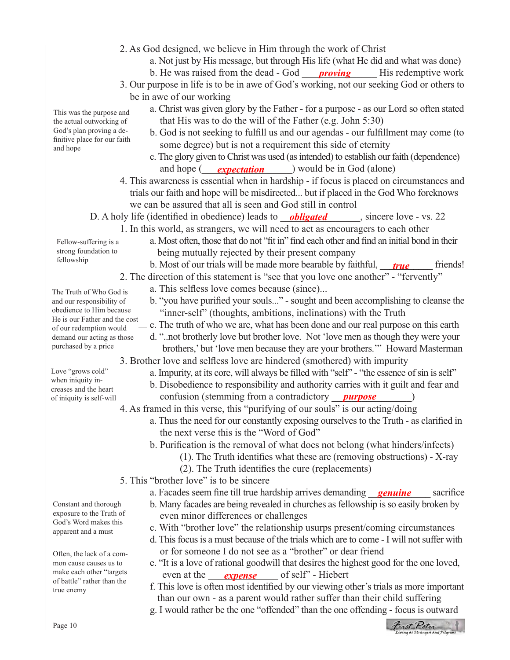- 2. As God designed, we believe in Him through the work of Christ
	- a. Not just by His message, but through His life (what He did and what was done)
- b. He was raised from the dead God <u>proving</u> His redemptive work
	- 3. Our purpose in life is to be in awe of God's working, not our seeking God or others to be in awe of our working
		- a. Christ was given glory by the Father for a purpose as our Lord so often stated that His was to do the will of the Father (e.g. John 5:30)
		- b. God is not seeking to fulfill us and our agendas our fulfillment may come (to some degree) but is not a requirement this side of eternity
			- c. The glory given to Christ was used (as intended) to establish our faith (dependence) and hope (*expectation* ) would be in God (alone)
	- 4. This awareness is essential when in hardship if focus is placed on circumstances and trials our faith and hope will be misdirected... but if placed in the God Who foreknows we can be assured that all is seen and God still in control

D. A holy life (identified in obedience) leads to *obligated*, sincere love - vs. 22

1. In this world, as strangers, we will need to act as encouragers to each other

Fellow-suffering is a strong foundation to fellowship

The Truth of Who God is and our responsibility of obedience to Him because He is our Father and the cost of our redemption would demand our acting as those purchased by a price

This was the purpose and the actual outworking of God's plan proving a definitive place for our faith

and hope

- a. Most often, those that do not "fit in" find each other and find an initial bond in their being mutually rejected by their present company
- b. Most of our trials will be made more bearable by faithful, *true* friends!
	- 2. The direction of this statement is "see that you love one another" "fervently"
		- a. This selfless love comes because (since)...
		- b. "you have purified your souls..." sought and been accomplishing to cleanse the "inner-self" (thoughts, ambitions, inclinations) with the Truth
		- c. The truth of who we are, what has been done and our real purpose on this earth
		- d. "..not brotherly love but brother love. Not 'love men as though they were your brothers,' but 'love men because they are your brothers.'" Howard Masterman
	- 3. Brother love and selfless love are hindered (smothered) with impurity
		- a. Impurity, at its core, will always be filled with "self" "the essence of sin is self"
		- b. Disobedience to responsibility and authority carries with it guilt and fear and confusion (stemming from a contradictory *\_\_\_\_\_\_\_\_\_\_\_\_\_\_*\_\_\_\_\_\_\_\_)
	- 4. As framed in this verse, this "purifying of our souls" is our acting/doing
		- a. Thus the need for our constantly exposing ourselves to the Truth as clarified in the next verse this is the "Word of God"
			- b. Purification is the removal of what does not belong (what hinders/infects)
				- (1). The Truth identifies what these are (removing obstructions) X-ray
				- (2). The Truth identifies the cure (replacements)
	- 5. This "brother love" is to be sincere
		- a. Facades seem fine till true hardship arrives demanding *genuine* sacrifice
		- b. Many facades are being revealed in churches as fellowship is so easily broken by even minor differences or challenges
		- c. With "brother love" the relationship usurps present/coming circumstances
		- d. This focus is a must because of the trials which are to come I will not suffer with or for someone I do not see as a "brother" or dear friend
- e. "It is a love of rational goodwill that desires the highest good for the one loved, ake each other "targets even at the <u>expense</u> of self" - Hiebert
	- f. This love is often most identified by our viewing other's trials as more important than our own - as a parent would rather suffer than their child suffering
	- g. I would rather be the one "offended" than the one offending focus is outward



Love "grows cold" when iniquity increases and the heart of iniquity is self-will

Constant and thorough exposure to the Truth of God's Word makes this apparent and a must

Often, the lack of a common cause causes us to make each other "targets of battle" rather than the true enemy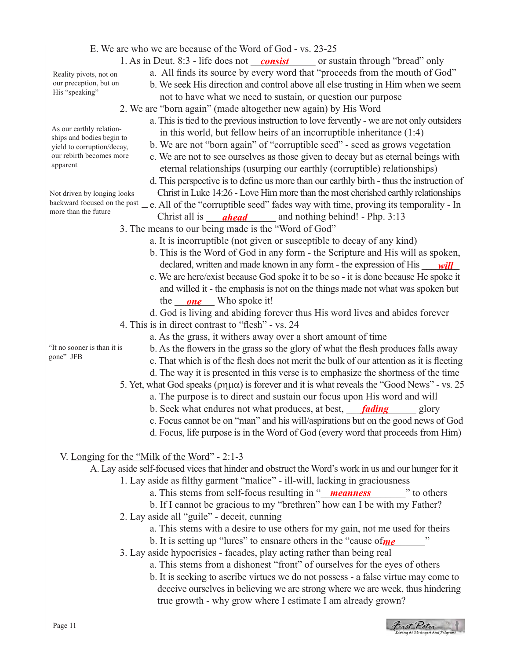|  |  |  |  | E. We are who we are because of the Word of God - vs. 23-25 |  |  |  |  |  |  |  |
|--|--|--|--|-------------------------------------------------------------|--|--|--|--|--|--|--|
|--|--|--|--|-------------------------------------------------------------|--|--|--|--|--|--|--|

1. As in Deut. 8:3 - life does not *consist* or sustain through "bread" only

Reality pivots, not on our preception, but on His "speaking"

As our earthly relationships and bodies begin to yield to corruption/decay, our rebirth becomes more

Not driven by longing looks

more than the future

apparent

- a. All finds its source by every word that "proceeds from the mouth of God" b. We seek His direction and control above all else trusting in Him when we seem not to have what we need to sustain, or question our purpose
- 2. We are "born again" (made altogether new again) by His Word
	- a. This is tied to the previous instruction to love fervently we are not only outsiders in this world, but fellow heirs of an incorruptible inheritance (1:4)
		- b. We are not "born again" of "corruptible seed" seed as grows vegetation
		- c. We are not to see ourselves as those given to decay but as eternal beings with eternal relationships (usurping our earthly (corruptible) relationships)
		- d. This perspective is to define us more than our earthly birth thus the instruction of Christ in Luke 14:26 - Love Him more than the most cherished earthly relationships
- backward focused on the past  $e$ . All of the "corruptible seed" fades way with time, proving its temporality In c man the ruture Christ all is **ahead** and nothing behind! - Php. 3:13
	- 3. The means to our being made is the "Word of God"
		- a. It is incorruptible (not given or susceptible to decay of any kind)
	- b. This is the Word of God in any form the Scripture and His will as spoken, declared, written and made known in any form - the expression of His *will*
	- c. We are here/exist because God spoke it to be so it is done because He spoke it and willed it - the emphasis is not on the things made not what was spoken but the <u>one</u> Who spoke it!
		- d. God is living and abiding forever thus His word lives and abides forever
		- 4. This is in direct contrast to "flesh" vs. 24
			- a. As the grass, it withers away over a short amount of time

"It no sooner is than it is gone" JFB

- b. As the flowers in the grass so the glory of what the flesh produces falls away c. That which is of the flesh does not merit the bulk of our attention as it is fleeting d. The way it is presented in this verse is to emphasize the shortness of the time
- 5. Yet, what God speaks ( $\rho\eta\mu\alpha$ ) is forever and it is what reveals the "Good News" vs. 25
	- a. The purpose is to direct and sustain our focus upon His word and will
	- b. Seek what endures not what produces, at best, **fading** glory
	- c. Focus cannot be on "man" and his will/aspirations but on the good news of God
	- d. Focus, life purpose is in the Word of God (every word that proceeds from Him)

# V. Longing for the "Milk of the Word" - 2:1-3

A. Lay aside self-focused vices that hinder and obstruct the Word's work in us and our hunger for it

- 1. Lay aside as filthy garment "malice" ill-will, lacking in graciousness
- a. This stems from self-focus resulting in "*meanness* " to others
	- b. If I cannot be gracious to my "brethren" how can I be with my Father?
	- 2. Lay aside all "guile" deceit, cunning
		- a. This stems with a desire to use others for my gain, not me used for theirs
- b. It is setting up "lures" to ensnare others in the "cause of **me**"
	- 3. Lay aside hypocrisies facades, play acting rather than being real
		- a. This stems from a dishonest "front" of ourselves for the eyes of others
		- b. It is seeking to ascribe virtues we do not possess a false virtue may come to deceive ourselves in believing we are strong where we are week, thus hindering true growth - why grow where I estimate I am already grown?

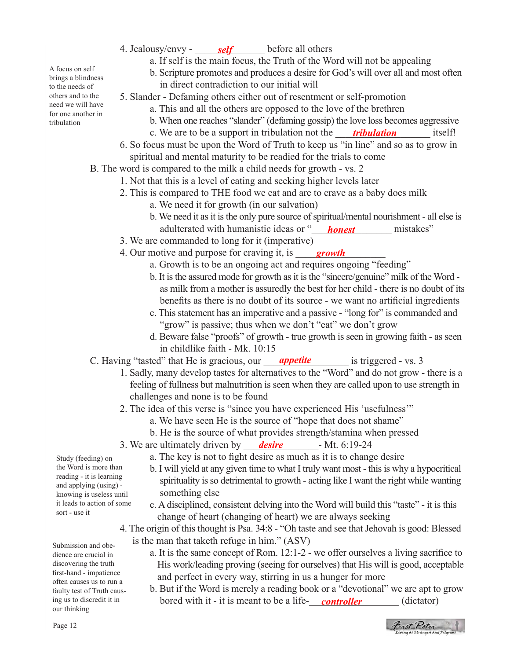- 4. Jealousy/envy <u>self</u> before all others
	- a. If self is the main focus, the Truth of the Word will not be appealing
	- b. Scripture promotes and produces a desire for God's will over all and most often in direct contradiction to our initial will
	- 5. Slander Defaming others either out of resentment or self-promotion
		- a. This and all the others are opposed to the love of the brethren
		- b. When one reaches "slander" (defaming gossip) the love loss becomes aggressive
- c. We are to be a support in tribulation not the *tribulation* itself!
	- 6. So focus must be upon the Word of Truth to keep us "in line" and so as to grow in spiritual and mental maturity to be readied for the trials to come
	- B. The word is compared to the milk a child needs for growth vs. 2
		- 1. Not that this is a level of eating and seeking higher levels later
		- 2. This is compared to THE food we eat and are to crave as a baby does milk
			- a. We need it for growth (in our salvation)
- b. We need it as it is the only pure source of spiritual/mental nourishment all else is adulterated with humanistic ideas or "*honest* mistakes"
	- 3. We are commanded to long for it (imperative)
- 4. Our motive and purpose for craving it, is **growth** 
	- a. Growth is to be an ongoing act and requires ongoing "feeding"
	- b. It is the assured mode for growth as it is the "sincere/genuine" milk of the Word as milk from a mother is assuredly the best for her child - there is no doubt of its benefits as there is no doubt of its source - we want no artificial ingredients
	- c. This statement has an imperative and a passive "long for" is commanded and "grow" is passive; thus when we don't "eat" we don't grow
	- d. Beware false "proofs" of growth true growth is seen in growing faith as seen in childlike faith - Mk. 10:15
	- C. Having "tasted" that He is gracious, our *appetite* is triggered vs. 3
		- 1. Sadly, many develop tastes for alternatives to the "Word" and do not grow there is a feeling of fullness but malnutrition is seen when they are called upon to use strength in challenges and none is to be found
		- 2. The idea of this verse is "since you have experienced His 'usefulness'"
			- a. We have seen He is the source of "hope that does not shame"
			- b. He is the source of what provides strength/stamina when pressed
- 3. We are ultimately driven by *desire* Mt. 6:19-24
	- a. The key is not to fight desire as much as it is to change desire
	- b. I will yield at any given time to what I truly want most this is why a hypocritical spirituality is so detrimental to growth - acting like I want the right while wanting
	- c. A disciplined, consistent delving into the Word will build this "taste" it is this change of heart (changing of heart) we are always seeking
	- 4. The origin of this thought is Psa. 34:8 "Oh taste and see that Jehovah is good: Blessed is the man that taketh refuge in him." (ASV)
		- a. It is the same concept of Rom. 12:1-2 we offer ourselves a living sacrifice to His work/leading proving (seeing for ourselves) that His will is good, acceptable and perfect in every way, stirring in us a hunger for more
		- b. But if the Word is merely a reading book or a "devotional" we are apt to grow bored with it - it is meant to be a life-**\_\_\_\_\_\_\_\_\_\_\_\_\_\_\_\_\_** (dictator)

knowing is useless until something else Study (feeding) on the Word is more than reading - it is learning and applying (using) it leads to action of some sort - use it

Submission and obedience are crucial in discovering the truth first-hand - impatience often causes us to run a faulty test of Truth causing us to discredit it in

our thinking

A focus on self brings a blindness to the needs of others and to the need we will have for one another in tribulation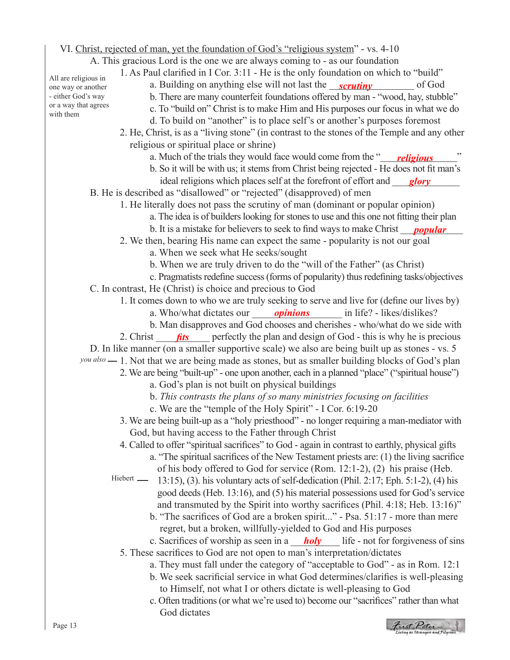VI. Christ, rejected of man, yet the foundation of God's "religious system" - vs. 4-10 A. This gracious Lord is the one we are always coming to - as our foundation 1. As Paul clarified in I Cor. 3:11 - He is the only foundation on which to "build" way or another a. Building on anything else will not last the **scrutiny** of God b. There are many counterfeit foundations offered by man - "wood, hay, stubble" c. To "build on" Christ is to make Him and His purposes our focus in what we do d. To build on "another" is to place self's or another's purposes foremost 2. He, Christ, is as a "living stone" (in contrast to the stones of the Temple and any other religious or spiritual place or shrine) a. Much of the trials they would face would come from the " b. So it will be with us; it stems from Christ being rejected - He does not fit man's ideal religions which places self at the forefront of effort and B. He is described as "disallowed" or "rejected" (disapproved) of men 1. He literally does not pass the scrutiny of man (dominant or popular opinion) a. The idea is of builders looking for stones to use and this one not fitting their plan b. It is a mistake for believers to seek to find ways to make Christ *\_\_\_\_\_\_\_\_\_\_\_\_\_\_\_\_\_*  2. We then, bearing His name can expect the same - popularity is not our goal a. When we seek what He seeks/sought b. When we are truly driven to do the "will of the Father" (as Christ) c. Pragmatists redefine success (forms of popularity) thus redefining tasks/objectives C. In contrast, He (Christ) is choice and precious to God 1. It comes down to who we are truly seeking to serve and live for (define our lives by) a. Who/what dictates our *opinions* in life? - likes/dislikes? b. Man disapproves and God chooses and cherishes - who/what do we side with 2. Christ **fits** perfectly the plan and design of God - this is why he is precious D. In like manner (on a smaller supportive scale) we also are being built up as stones - vs. 5 1. Not that we are being made as stones, but as smaller building blocks of God's plan *you also* 2. We are being "built-up" - one upon another, each in a planned "place" ("spiritual house") a. God's plan is not built on physical buildings b. *This contrasts the plans of so many ministries focusing on facilities* c. We are the "temple of the Holy Spirit" - I Cor. 6:19-20 3. We are being built-up as a "holy priesthood" - no longer requiring a man-mediator with God, but having access to the Father through Christ 4. Called to offer "spiritual sacrifices" to God - again in contrast to earthly, physical gifts a. "The spiritual sacrifices of the New Testament priests are: (1) the living sacrifice of his body offered to God for service (Rom. 12:1-2), (2) his praise (Heb. 13:15), (3). his voluntary acts of self-dedication (Phil. 2:17; Eph. 5:1-2), (4) his good deeds (Heb. 13:16), and (5) his material possessions used for God's service and transmuted by the Spirit into worthy sacrifices (Phil. 4:18; Heb. 13:16)" b. "The sacrifices of God are a broken spirit..." - Psa. 51:17 - more than mere regret, but a broken, willfully-yielded to God and His purposes c. Sacrifices of worship as seen in a *holy* life - not for forgiveness of sins 5. These sacrifices to God are not open to man's interpretation/dictates a. They must fall under the category of "acceptable to God" - as in Rom. 12:1 b. We seek sacrificial service in what God determines/clarifies is well-pleasing to Himself, not what I or others dictate is well-pleasing to God c. Often traditions (or what we're used to) become our "sacrifices" rather than what God dictates All are religious in one way or another - either God's way or a way that agrees with them Hiebert \_\_ *glory religious*

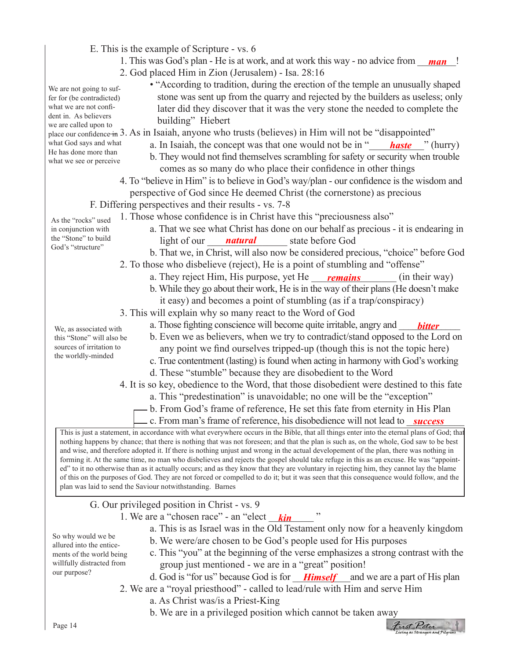- E. This is the example of Scripture vs. 6
- 1. This was God's plan He is at work, and at work this way no advice from *\_\_\_\_\_\_\_\_\_\_*!
	- 2. God placed Him in Zion (Jerusalem) Isa. 28:16
		- "According to tradition, during the erection of the temple an unusually shaped stone was sent up from the quarry and rejected by the builders as useless; only later did they discover that it was the very stone the needed to complete the building" Hiebert

place our confidence in 3. As in Isaiah, anyone who trusts (believes) in Him will not be "disappointed"

- a. In Isaiah, the concept was that one would not be in "*haste* " (hurry)
- b. They would not find themselves scrambling for safety or security when trouble comes as so many do who place their confidence in other things
- 4. To "believe in Him" is to believe in God's way/plan our confidence is the wisdom and perspective of God since He deemed Christ (the cornerstone) as precious
- F. Differing perspectives and their results vs. 7-8
- 1. Those whose confidence is in Christ have this "preciousness also" As the "rocks" used
	- a. That we see what Christ has done on our behalf as precious it is endearing in "Stone" to build light of our **natural** state before God
		- b. That we, in Christ, will also now be considered precious, "choice" before God
		- 2. To those who disbelieve (reject), He is a point of stumbling and "offense"
			- a. They reject Him, His purpose, yet He *\_\_\_\_\_\_\_\_\_\_\_\_\_\_\_\_\_***\_\_\_\_** (in their way)
			- b. While they go about their work, He is in the way of their plans (He doesn't make
			- it easy) and becomes a point of stumbling (as if a trap/conspiracy)
		- 3. This will explain why so many react to the Word of God
			- a. Those fighting conscience will become quite irritable, angry and *bitter*
			- b. Even we as believers, when we try to contradict/stand opposed to the Lord on any point we find ourselves tripped-up (though this is not the topic here)
			- c. True contentment (lasting) is found when acting in harmony with God's working
			- d. These "stumble" because they are disobedient to the Word
		- 4. It is so key, obedience to the Word, that those disobedient were destined to this fate
			- a. This "predestination" is unavoidable; no one will be the "exception"
			- b. From God's frame of reference, He set this fate from eternity in His Plan
	- c. From man's frame of reference, his disobedience will not lead to *\_\_\_<u>success</u>*

This is just a statement, in accordance with what everywhere occurs in the Bible, that all things enter into the eternal plans of God; that nothing happens by chance; that there is nothing that was not foreseen; and that the plan is such as, on the whole, God saw to be best and wise, and therefore adopted it. If there is nothing unjust and wrong in the actual developement of the plan, there was nothing in forming it. At the same time, no man who disbelieves and rejects the gospel should take refuge in this as an excuse. He was "appointed" to it no otherwise than as it actually occurs; and as they know that they are voluntary in rejecting him, they cannot lay the blame of this on the purposes of God. They are not forced or compelled to do it; but it was seen that this consequence would follow, and the plan was laid to send the Saviour notwithstanding. Barnes

G. Our privileged position in Christ - vs. 9

- 1. We are a "chosen race" an "elect <u>kin</u>"
	- a. This is as Israel was in the Old Testament only now for a heavenly kingdom
	- b. We were/are chosen to be God's people used for His purposes
	- c. This "you" at the beginning of the verse emphasizes a strong contrast with the group just mentioned - we are in a "great" position!
- <sup>1</sup> purpose: d. God is "for us" because God is for **Himself** and we are a part of His plan
	- 2. We are a "royal priesthood" called to lead/rule with Him and serve Him
		- a. As Christ was/is a Priest-King
		- b. We are in a privileged position which cannot be taken away<br>First Peter Living as Strangers and Pilgrin

We, as associated with this "Stone" will also be sources of irritation to the worldly-minded

in conjunction with the "Stone" to build God's "structure"

We are not going to suffer for (be contradicted) what we are not confident in. As believers we are called upon to

what God says and what He has done more than what we see or perceive

our purpose?

So why would we be allured into the enticements of the world being willfully distracted from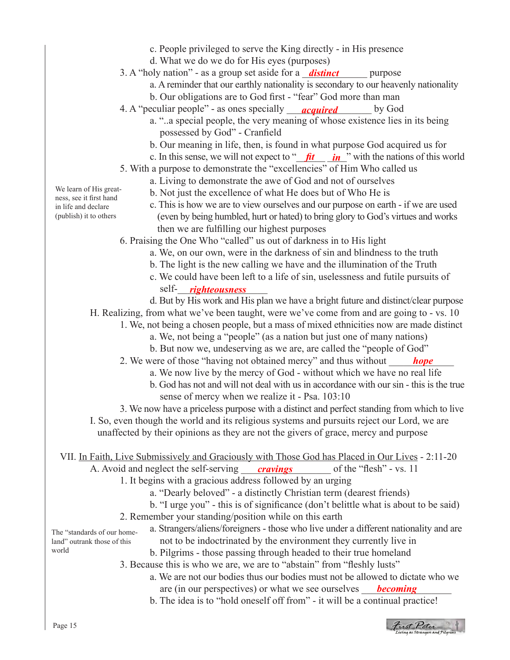- c. People privileged to serve the King directly in His presence
- d. What we do we do for His eyes (purposes)
- 3. A "holy nation" as a group set aside for a *\_\_\_\_\_\_\_\_\_\_\_\_\_\_\_\_* purpose
	- a. A reminder that our earthly nationality is secondary to our heavenly nationality
	- b. Our obligations are to God first "fear" God more than man
- 4. A "peculiar people" as ones specially <u>*acquired*</u> by God
	- a. "..a special people, the very meaning of whose existence lies in its being possessed by God" - Cranfield
	- b. Our meaning in life, then, is found in what purpose God acquired us for
- c. In this sense, we will not expect to "**\_fit** *in* " with the nations of this world
	- 5. With a purpose to demonstrate the "excellencies" of Him Who called us
		- a. Living to demonstrate the awe of God and not of ourselves
		- b. Not just the excellence of what He does but of Who He is
		- c. This is how we are to view ourselves and our purpose on earth if we are used (even by being humbled, hurt or hated) to bring glory to God's virtues and works then we are fulfilling our highest purposes
	- 6. Praising the One Who "called" us out of darkness in to His light
		- a. We, on our own, were in the darkness of sin and blindness to the truth
		- b. The light is the new calling we have and the illumination of the Truth
- c. We could have been left to a life of sin, uselessness and futile pursuits of self-\_\_\_\_\_\_\_\_\_\_\_\_\_\_\_\_\_\_ *righteousness*
	- d. But by His work and His plan we have a bright future and distinct/clear purpose
	- H. Realizing, from what we've been taught, were we've come from and are going to vs. 10
		- 1. We, not being a chosen people, but a mass of mixed ethnicities now are made distinct
			- a. We, not being a "people" (as a nation but just one of many nations)
			- b. But now we, undeserving as we are, are called the "people of God"
- 2. We were of those "having not obtained mercy" and thus without *hope* 
	- a. We now live by the mercy of God without which we have no real life
	- b. God has not and will not deal with us in accordance with our sin this is the true sense of mercy when we realize it - Psa. 103:10
	- 3. We now have a priceless purpose with a distinct and perfect standing from which to live
	- I. So, even though the world and its religious systems and pursuits reject our Lord, we are unaffected by their opinions as they are not the givers of grace, mercy and purpose
- VII. In Faith, Live Submissively and Graciously with Those God has Placed in Our Lives 2:11-20
	- A. Avoid and neglect the self-serving *\_\_\_\_\_\_\_\_\_\_\_\_\_\_\_* of the "flesh" vs. 11
		- 1. It begins with a gracious address followed by an urging
			- a. "Dearly beloved" a distinctly Christian term (dearest friends)
			- b. "I urge you" this is of significance (don't belittle what is about to be said)
		- 2. Remember your standing/position while on this earth

The "standards of our homeland" outrank those of this world

We learn of His greatness, see it first hand in life and declare (publish) it to others

- a. Strangers/aliens/foreigners those who live under a different nationality and are not to be indoctrinated by the environment they currently live in
- b. Pilgrims those passing through headed to their true homeland

3. Because this is who we are, we are to "abstain" from "fleshly lusts"

 a. We are not our bodies thus our bodies must not be allowed to dictate who we are (in our perspectives) or what we see ourselves *becoming* 

First Peter<br>Living as Strangers and Pilgr

b. The idea is to "hold oneself off from" - it will be a continual practice!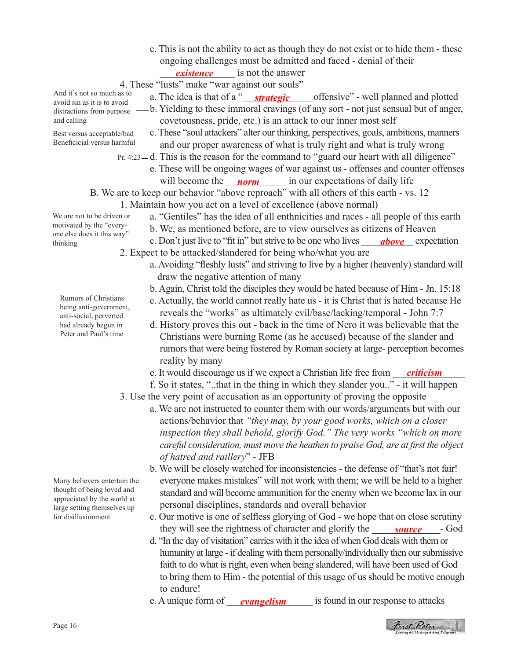c. This is not the ability to act as though they do not exist or to hide them - these ongoing challenges must be admitted and faced - denial of their

**existence** is not the answer

- 4. These "lusts" make "war against our souls" And it's not so much as to
	- a. The idea is that of a "\_\_\_\_\_\_\_\_\_\_\_\_\_\_ offensive" well planned and plotted *strategic*
		- b. Yielding to these immoral cravings (of any sort not just sensual but of anger, covetousness, pride, etc.) is an attack to our inner most self
		- c. These "soul attackers" alter our thinking, perspectives, goals, ambitions, manners and our proper awareness of what is truly right and what is truly wrong
	- Pr. 4:23—d. This is the reason for the command to "guard our heart with all diligence"
	- e. These will be ongoing wages of war against us offenses and counter offenses will become the *norm* in our expectations of daily life
		- B. We are to keep our behavior "above reproach" with all others of this earth vs. 12
			- 1. Maintain how you act on a level of excellence (above normal)
				- a. "Gentiles" has the idea of all enthnicities and races all people of this earth
				- b. We, as mentioned before, are to view ourselves as citizens of Heaven
				- c. Don't just live to "fit in" but strive to be one who lives *above* expectation
			- 2. Expect to be attacked/slandered for being who/what you are
				- a. Avoiding "fleshly lusts" and striving to live by a higher (heavenly) standard will draw the negative attention of many
				- b. Again, Christ told the disciples they would be hated because of Him Jn. 15:18
				- c. Actually, the world cannot really hate us it is Christ that is hated because He reveals the "works" as ultimately evil/base/lacking/temporal - John 7:7
				- d. History proves this out back in the time of Nero it was believable that the Christians were burning Rome (as he accused) because of the slander and rumors that were being fostered by Roman society at large- perception becomes reality by many
	- e. It would discourage us if we expect a Christian life free from <u>criticism</u>
		- f. So it states, "..that in the thing in which they slander you.." it will happen 3. Use the very point of accusation as an opportunity of proving the opposite
			- a. We are not instructed to counter them with our words/arguments but with our actions/behavior that *"they may, by your good works, which on a closer inspection they shall behold, glorify God." The very works "which on more careful consideration, must move the heathen to praise God, are at first the object of hatred and raillery*" - JFB
				- b. We will be closely watched for inconsistencies the defense of "that's not fair! everyone makes mistakes" will not work with them; we will be held to a higher standard and will become ammunition for the enemy when we become lax in our personal disciplines, standards and overall behavior
				- c. Our motive is one of selfless glorying of God we hope that on close scrutiny they will see the rightness of character and glorify the *source*
				- d. "In the day of visitation" carries with it the idea of when God deals with them or humanity at large - if dealing with them personally/individually then our submissive faith to do what is right, even when being slandered, will have been used of God to bring them to Him - the potential of this usage of us should be motive enough to endure!
	- e. A unique form of <u>evangelism</u> is found in our response to attacks



We are not to be driven or motivated by the "everyone else does it this way" thinking

Best versus acceptable/bad Beneficicial versus harmful

avoid sin as it is to avoid distractions from purpose -

and calling

Rumors of Christians being anti-government, anti-social, perverted had already begun in Peter and Paul's time

Many believers entertain the thought of being loved and appreciated by the world at large setting themselves up for disillusionment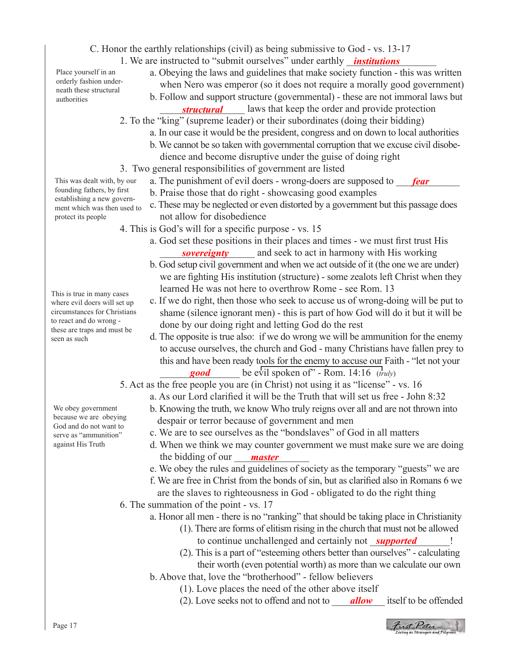1. We are instructed to "submit ourselves" under earthly *\_institutions* 

Place yourself in an orderly fashion underneath these structural authorities

- a. Obeying the laws and guidelines that make society function this was written when Nero was emperor (so it does not require a morally good government) b. Follow and support structure (governmental) - these are not immoral laws but
- *structural* and laws that keep the order and provide protection
	- 2. To the "king" (supreme leader) or their subordinates (doing their bidding)
		- a. In our case it would be the president, congress and on down to local authorities
			- b. We cannot be so taken with governmental corruption that we excuse civil disobe dience and become disruptive under the guise of doing right
	- 3. Two general responsibilities of government are listed
- his was dealt with, by our a. The punishment of evil doers wrong-doers are supposed to **fear** 
	- b. Praise those that do right showcasing good examples
	- c. These may be neglected or even distorted by a government but this passage does not allow for disobedience
	- 4. This is God's will for a specific purpose vs. 15
- a. God set these positions in their places and times we must first trust His *sovereignty* and seek to act in harmony with His working
	- b. God setup civil government and when we act outside of it (the one we are under) we are fighting His institution (structure) - some zealots left Christ when they learned He was not here to overthrow Rome - see Rom. 13
	- c. If we do right, then those who seek to accuse us of wrong-doing will be put to shame (silence ignorant men) - this is part of how God will do it but it will be done by our doing right and letting God do the rest
	- d. The opposite is true also: if we do wrong we will be ammunition for the enemy to accuse ourselves, the church and God - many Christians have fallen prey to this and have been ready tools for the enemy to accuse our Faith - "let not your

**good** be evil spoken of  $\degree$  - Rom. 14:16 (*truly*)

5. Act as the free people you are (in Christ) not using it as "license" - vs. 16

a. As our Lord clarified it will be the Truth that will set us free - John 8:32

- b. Knowing the truth, we know Who truly reigns over all and are not thrown into despair or terror because of government and men
- c. We are to see ourselves as the "bondslaves" of God in all matters
- d. When we think we may counter government we must make sure we are doing the bidding of our *\_\_\_\_\_\_\_\_\_\_\_\_\_\_\_\_\_\_\_\_\_\_\_\_* 
	- e. We obey the rules and guidelines of society as the temporary "guests" we are
	- f. We are free in Christ from the bonds of sin, but as clarified also in Romans 6 we are the slaves to righteousness in God - obligated to do the right thing
	- 6. The summation of the point vs. 17
		- a. Honor all men there is no "ranking" that should be taking place in Christianity
- (1). There are forms of elitism rising in the church that must not be allowed to continue unchallenged and certainly not *\_supported* |
	- (2). This is a part of "esteeming others better than ourselves" calculating their worth (even potential worth) as more than we calculate our own
	- b. Above that, love the "brotherhood" fellow believers
		- (1). Love places the need of the other above itself
		- (2). Love seeks not to offend and not to **allow** itself to be offended



This was dealt with, by our founding fathers, by first establishing a new government which was then used to protect its people

This is true in many cases where evil doers will set up circumstances for Christians to react and do wrong these are traps and must be seen as such

We obey government because we are obeying God and do not want to serve as "ammunition" against His Truth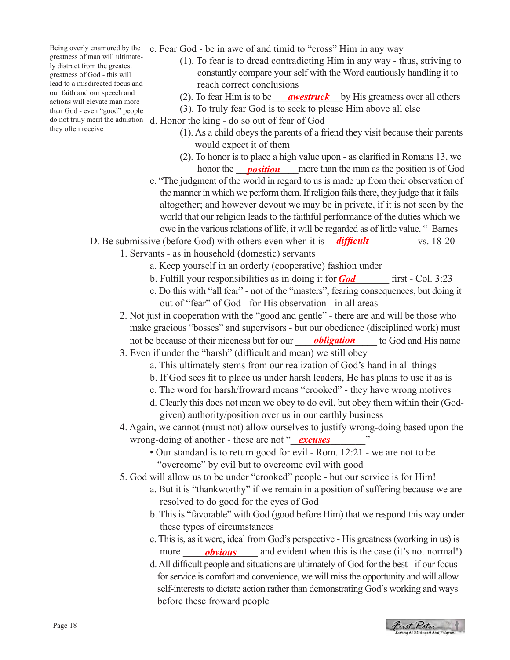Being overly enamored by the greatness of man will ultimately distract from the greatest greatness of God - this will lead to a misdirected focus and our faith and our speech and actions will elevate man more than God - even "good" people they often receive

- c. Fear God be in awe of and timid to "cross" Him in any way
	- (1). To fear is to dread contradicting Him in any way thus, striving to constantly compare your self with the Word cautiously handling it to reach correct conclusions
	- (2). To fear Him is to be *awestruck* by His greatness over all others
	- (3). To truly fear God is to seek to please Him above all else
- do not truly merit the adulation d. Honor the king do so out of fear of God
	- (1). As a child obeys the parents of a friend they visit because their parents would expect it of them
	- (2). To honor is to place a high value upon as clarified in Romans 13, we honor the **position** more than the man as the position is of God
		- e. "The judgment of the world in regard to us is made up from their observation of the manner in which we perform them. If religion fails there, they judge that it fails altogether; and however devout we may be in private, if it is not seen by the world that our religion leads to the faithful performance of the duties which we owe in the various relations of life, it will be regarded as of little value. " Barnes

D. Be submissive (before God) with others even when it is *difficult* \_\_\_\_\_\_\_\_\_\_\_\_\_\_\_\_- vs. 18-20

- 1. Servants as in household (domestic) servants
	- a. Keep yourself in an orderly (cooperative) fashion under
	- b. Fulfill your responsibilities as in doing it for **God** first Col. 3:23
	- c. Do this with "all fear" not of the "masters", fearing consequences, but doing it out of "fear" of God - for His observation - in all areas
- 2. Not just in cooperation with the "good and gentle" there are and will be those who make gracious "bosses" and supervisors - but our obedience (disciplined work) must not be because of their niceness but for our *obligation* to God and His name
	- 3. Even if under the "harsh" (difficult and mean) we still obey
		- a. This ultimately stems from our realization of God's hand in all things
		- b. If God sees fit to place us under harsh leaders, He has plans to use it as is
		- c. The word for harsh/froward means "crooked" they have wrong motives
		- d. Clearly this does not mean we obey to do evil, but obey them within their (God given) authority/position over us in our earthly business
- 4. Again, we cannot (must not) allow ourselves to justify wrong-doing based upon the wrong-doing of another - these are not "*excuses* "
	- Our standard is to return good for evil Rom. 12:21 we are not to be "overcome" by evil but to overcome evil with good
	- 5. God will allow us to be under "crooked" people but our service is for Him!
		- a. But it is "thankworthy" if we remain in a position of suffering because we are resolved to do good for the eyes of God
		- b. This is "favorable" with God (good before Him) that we respond this way under these types of circumstances
		- c. This is, as it were, ideal from God's perspective His greatness (working in us) is more  $\omega b$  *u*  $\omega$  and evident when this is the case (it's not normal!) *obvious*
		- d. All difficult people and situations are ultimately of God for the best if our focus for service is comfort and convenience, we will miss the opportunity and will allow self-interests to dictate action rather than demonstrating God's working and ways before these froward people

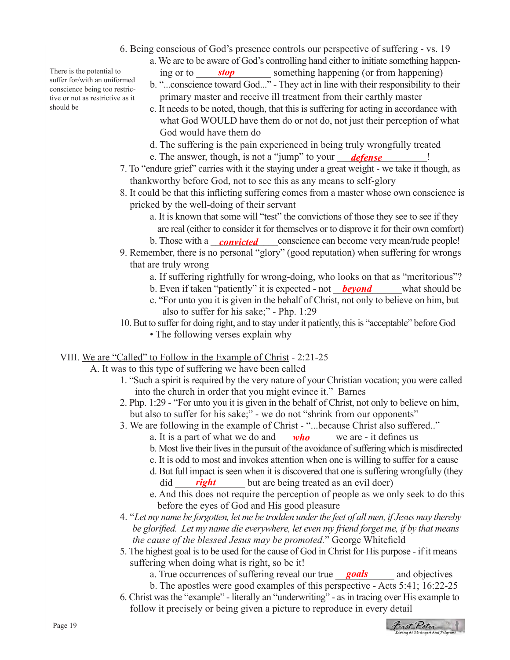- 6. Being conscious of God's presence controls our perspective of suffering vs. 19
	- a. We are to be aware of God's controlling hand either to initiate something happen-

There is the potential to suffer for/with an uniformed conscience being too restrictive or not as restrictive as it should be

- ing or to *stop* something happening (or from happening) b. "...conscience toward God..." - They act in line with their responsibility to their primary master and receive ill treatment from their earthly master
- c. It needs to be noted, though, that this is suffering for acting in accordance with what God WOULD have them do or not do, not just their perception of what God would have them do
- d. The suffering is the pain experienced in being truly wrongfully treated
- e. The answer, though, is not a "jump" to your *defense* 
	- 7. To "endure grief" carries with it the staying under a great weight we take it though, as thankworthy before God, not to see this as any means to self-glory
	- 8. It could be that this inflicting suffering comes from a master whose own conscience is pricked by the well-doing of their servant
		- a. It is known that some will "test" the convictions of those they see to see if they are real (either to consider it for themselves or to disprove it for their own comfort)
- b. Those with a *convicted* conscience can become very mean/rude people!
	- 9. Remember, there is no personal "glory" (good reputation) when suffering for wrongs that are truly wrong
		- a. If suffering rightfully for wrong-doing, who looks on that as "meritorious"?
- b. Even if taken "patiently" it is expected not *beyond* what should be
	- c. "For unto you it is given in the behalf of Christ, not only to believe on him, but also to suffer for his sake;" - Php. 1:29
	- 10. But to suffer for doing right, and to stay under it patiently, this is "acceptable" before God
		- The following verses explain why

#### VIII. We are "Called" to Follow in the Example of Christ - 2:21-25

A. It was to this type of suffering we have been called

- 1. "Such a spirit is required by the very nature of your Christian vocation; you were called into the church in order that you might evince it." Barnes
- 2. Php. 1:29 "For unto you it is given in the behalf of Christ, not only to believe on him, but also to suffer for his sake;" - we do not "shrink from our opponents"
- 3. We are following in the example of Christ "...because Christ also suffered.."
	- a. It is a part of what we do and <u>who</u> we are it defines us
	- b. Most live their lives in the pursuit of the avoidance of suffering which is misdirected
	- c. It is odd to most and invokes attention when one is willing to suffer for a cause
	- d. But full impact is seen when it is discovered that one is suffering wrongfully (they did  $right$   $right$  but are being treated as an evil doer) *right*
	- e. And this does not require the perception of people as we only seek to do this before the eyes of God and His good pleasure
- 4. "*Let my name be forgotten, let me be trodden under the feet of all men, if Jesus may thereby be glorified. Let my name die everywhere, let even my friend forget me, if by that means the cause of the blessed Jesus may be promoted.*" George Whitefield
- 5. The highest goal is to be used for the cause of God in Christ for His purpose if it means suffering when doing what is right, so be it!
- a. True occurrences of suffering reveal our true **goals** and objectives
	- b. The apostles were good examples of this perspective Acts 5:41; 16:22-25
	- 6. Christ was the "example" literally an "underwriting" as in tracing over His example to follow it precisely or being given a picture to reproduce in every detail

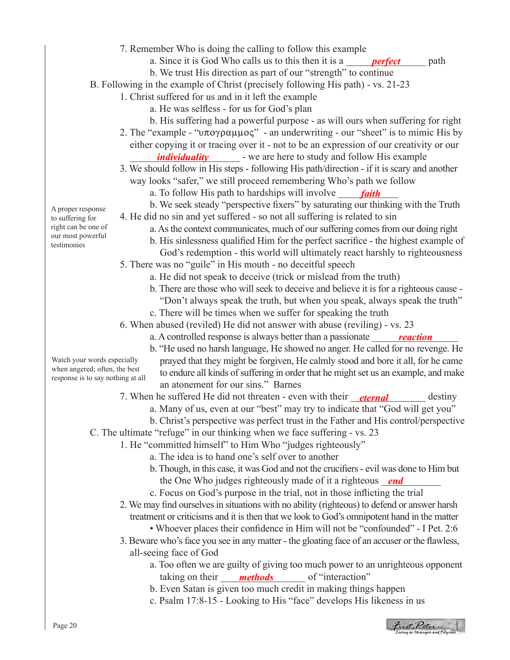- 7. Remember Who is doing the calling to follow this example
	- a. Since it is God Who calls us to this then it is a **perfect** and path
	- b. We trust His direction as part of our "strength" to continue

B. Following in the example of Christ (precisely following His path) - vs. 21-23

- 1. Christ suffered for us and in it left the example
	- a. He was selfless for us for God's plan
	- b. His suffering had a powerful purpose as will ours when suffering for right
- 2. The "example " $\nu \pi \omega \rho \alpha \mu \mu \alpha \zeta$ " an underwriting our "sheet" is to mimic His by either copying it or tracing over it - not to be an expression of our creativity or our \_\_\_\_\_\_\_\_\_\_\_\_\_\_\_\_\_\_\_\_\_\_ - we are here to study and follow His example *individuality*
- 3. We should follow in His steps following His path/direction if it is scary and another way looks "safer," we still proceed remembering Who's path we follow
- a. To follow His path to hardships will involve **faith** 
	- b. We seek steady "perspective fixers" by saturating our thinking with the Truth 4. He did no sin and yet suffered - so not all suffering is related to sin
		- a. As the context communicates, much of our suffering comes from our doing right
		- b. His sinlessness qualified Him for the perfect sacrifice the highest example of
		- God's redemption this world will ultimately react harshly to righteousness
	- 5. There was no "guile" in His mouth no deceitful speech
		- a. He did not speak to deceive (trick or mislead from the truth)
		- b. There are those who will seek to deceive and believe it is for a righteous cause -
		- "Don't always speak the truth, but when you speak, always speak the truth"
		- c. There will be times when we suffer for speaking the truth
	- 6. When abused (reviled) He did not answer with abuse (reviling) vs. 23
- a. A controlled response is always better than a passionate *reaction* 
	- b. "He used no harsh language, He showed no anger. He called for no revenge. He prayed that they might be forgiven, He calmly stood and bore it all, for he came to endure all kinds of suffering in order that he might set us an example, and make an atonement for our sins." Barnes
- 7. When he suffered He did not threaten even with their *\_\_\_\_\_\_\_\_\_\_\_\_\_\_\_*\_\_\_\_\_\_\_\_\_\_destiny
	- a. Many of us, even at our "best" may try to indicate that "God will get you"
	- b. Christ's perspective was perfect trust in the Father and His control/perspective
	- C. The ultimate "refuge" in our thinking when we face suffering vs. 23
		- 1. He "committed himself" to Him Who "judges righteously"
			- a. The idea is to hand one's self over to another
- b. Though, in this case, it was God and not the crucifiers evil was done to Him but the One Who judges righteously made of it a righteous *end* 
	- c. Focus on God's purpose in the trial, not in those inflicting the trial
	- 2. We may find ourselves in situations with no ability (righteous) to defend or answer harsh treatment or criticisms and it is then that we look to God's omnipotent hand in the matter
		- Whoever places their confidence in Him will not be "confounded" I Pet. 2:6
	- 3. Beware who's face you see in any matter the gloating face of an accuser or the flawless, all-seeing face of God
- a. Too often we are guilty of giving too much power to an unrighteous opponent taking on their *methods* of "interaction"

First Peter

- b. Even Satan is given too much credit in making things happen
- c. Psalm 17:8-15 Looking to His "face" develops His likeness in us

A proper response to suffering for right can be one of our most powerful testimonies

Watch your words especially when angered; often, the best response is to say nothing at all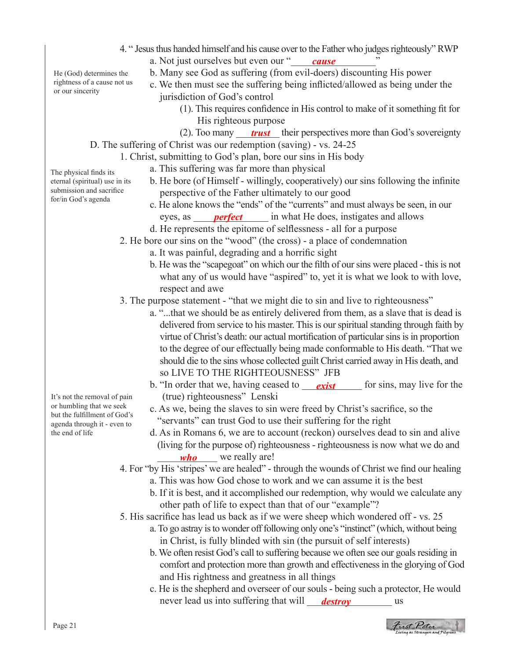a. Not just ourselves but even our " b. Many see God as suffering (from evil-doers) discounting His power c. We then must see the suffering being inflicted/allowed as being under the jurisdiction of God's control (1). This requires confidence in His control to make of it something fit for His righteous purpose (2). Too many <u>trust</u> their perspectives more than God's sovereignty D. The suffering of Christ was our redemption (saving) - vs. 24-25 1. Christ, submitting to God's plan, bore our sins in His body a. This suffering was far more than physical b. He bore (of Himself - willingly, cooperatively) our sins following the infinite perspective of the Father ultimately to our good c. He alone knows the "ends" of the "currents" and must always be seen, in our eyes, as *perfect* in what He does, instigates and allows d. He represents the epitome of selflessness - all for a purpose 2. He bore our sins on the "wood" (the cross) - a place of condemnation a. It was painful, degrading and a horrific sight b. He was the "scapegoat" on which our the filth of our sins were placed - this is not what any of us would have "aspired" to, yet it is what we look to with love, respect and awe 3. The purpose statement - "that we might die to sin and live to righteousness" a. "...that we should be as entirely delivered from them, as a slave that is dead is delivered from service to his master. This is our spiritual standing through faith by virtue of Christ's death: our actual mortification of particular sins is in proportion to the degree of our effectually being made conformable to His death. "That we should die to the sins whose collected guilt Christ carried away in His death, and so LIVE TO THE RIGHTEOUSNESS" JFB b. "In order that we, having ceased to <u>exist</u> for sins, may live for the (true) righteousness" Lenski c. As we, being the slaves to sin were freed by Christ's sacrifice, so the "servants" can trust God to use their suffering for the right d. As in Romans 6, we are to account (reckon) ourselves dead to sin and alive (living for the purpose of) righteousness - righteousness is now what we do and *who* we really are! 4. For "by His 'stripes' we are healed" - through the wounds of Christ we find our healing a. This was how God chose to work and we can assume it is the best b. If it is best, and it accomplished our redemption, why would we calculate any other path of life to expect than that of our "example"? 5. His sacrifice has lead us back as if we were sheep which wondered off - vs. 25 a. To go astray is to wonder off following only one's "instinct" (which, without being in Christ, is fully blinded with sin (the pursuit of self interests) b. We often resist God's call to suffering because we often see our goals residing in comfort and protection more than growth and effectiveness in the glorying of God and His rightness and greatness in all things c. He is the shepherd and overseer of our souls - being such a protector, He would The physical finds its eternal (spiritual) use in its submission and sacrifice for/in God's agenda He (God) determines the rightness of a cause not us or our sincerity *cause*

4. " Jesus thus handed himself and his cause over to the Father who judges righteously" RWP

never lead us into suffering that will *destroy* us

It's not the removal of pain or humbling that we seek but the fulfillment of God's agenda through it - even to the end of life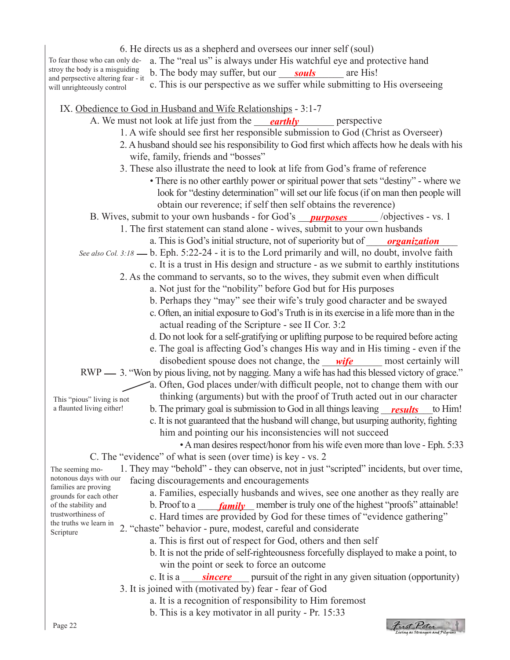| 6. He directs us as a shepherd and oversees our inner self (soul) |  |
|-------------------------------------------------------------------|--|
|-------------------------------------------------------------------|--|

- a. The "real us" is always under His watchful eye and protective hand To fear those who can only de-
- $\frac{b}{b}$  is a misguiding  $\frac{b}{b}$ . The body may suffer, but our **souls** are His! stroy the body is a misguiding
- c. This is our perspective as we suffer while submitting to His overseeing and perpsective altering fear - it will unrighteously control

IX. Obedience to God in Husband and Wife Relationships - 3:1-7 A. We must not look at life just from the *earthly* energies perspective 1. A wife should see first her responsible submission to God (Christ as Overseer) 2. A husband should see his responsibility to God first which affects how he deals with his wife, family, friends and "bosses" 3. These also illustrate the need to look at life from God's frame of reference • There is no other earthly power or spiritual power that sets "destiny" - where we look for "destiny determination" will set our life focus (if on man then people will obtain our reverence; if self then self obtains the reverence) B. Wives, submit to your own husbands - for God's **purposes** /objectives - vs. 1 1. The first statement can stand alone - wives, submit to your own husbands a. This is God's initial structure, not of superiority but of *<u>organization</u>*  b. Eph. 5:22-24 - it is to the Lord primarily and will, no doubt, involve faith *See also Col. 3:18* c. It is a trust in His design and structure - as we submit to earthly institutions 2. As the command to servants, so to the wives, they submit even when difficult a. Not just for the "nobility" before God but for His purposes b. Perhaps they "may" see their wife's truly good character and be swayed c. Often, an initial exposure to God's Truth is in its exercise in a life more than in the actual reading of the Scripture - see II Cor. 3:2 d. Do not look for a self-gratifying or uplifting purpose to be required before acting e. The goal is affecting God's changes His way and in His timing - even if the disobedient spouse does not change, the <u>wife</u> most certainly will RWP — 3. "Won by pious living, not by nagging. Many a wife has had this blessed victory of grace." a. Often, God places under/with difficult people, not to change them with our thinking (arguments) but with the proof of Truth acted out in our character This "pious" living is not a flaunted living either! Haunted living either! b. The primary goal is submission to God in all things leaving *\_\_\_\_\_\_\_\_\_\_to* Him! c. It is not guaranteed that the husband will change, but usurping authority, fighting him and pointing our his inconsistencies will not succeed • A man desires respect/honor from his wife even more than love - Eph. 5:33 C. The "evidence" of what is seen (over time) is key - vs. 2 1. They may "behold" - they can observe, not in just "scripted" incidents, but over time, The seeming monotonous days with our facing discouragements and encouragements families are proving a. Families, especially husbands and wives, see one another as they really are grounds for each other b. Proof to a \_\_\_\_\_\_\_\_\_\_\_\_ member is truly one of the highest "proofs" attainable! *family* of the stability and trustworthiness of c. Hard times are provided by God for these times of "evidence gathering" the truths we learn in 2. "chaste" behavior - pure, modest, careful and considerate Scripture a. This is first out of respect for God, others and then self b. It is not the pride of self-righteousness forcefully displayed to make a point, to win the point or seek to force an outcome c. It is a *sincere* pursuit of the right in any given situation (opportunity) 3. It is joined with (motivated by) fear - fear of God a. It is a recognition of responsibility to Him foremost b. This is a key motivator in all purity - Pr. 15:33 First Peter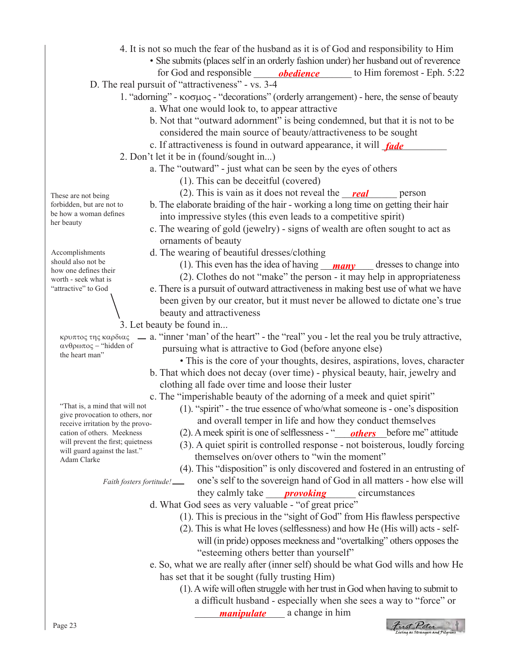- 4. It is not so much the fear of the husband as it is of God and responsibility to Him
- She submits (places self in an orderly fashion under) her husband out of reverence for God and responsible **budiance bleedience blue Godds** b Him foremost - Eph. 5:22
	- D. The real pursuit of "attractiveness" vs. 3-4
		- 1. "adorning" κοσµος "decorations" (orderly arrangement) here, the sense of beauty a. What one would look to, to appear attractive
			- b. Not that "outward adornment" is being condemned, but that it is not to be considered the main source of beauty/attractiveness to be sought
- c. If attractiveness is found in outward appearance, it will **fade** 
	- 2. Don't let it be in (found/sought in...)
		- a. The "outward" just what can be seen by the eyes of others
			- (1). This can be deceitful (covered)
			- (2). This is vain as it does not reveal the *<u>real</u>* person
		- b. The elaborate braiding of the hair working a long time on getting their hair into impressive styles (this even leads to a competitive spirit)
		- c. The wearing of gold (jewelry) signs of wealth are often sought to act as ornaments of beauty
		- d. The wearing of beautiful dresses/clothing
			- (1). This even has the idea of having *\_\_\_\_\_\_\_\_\_\_\_\_\_*\_\_\_\_\_\_\_ dresses to change into
		- (2). Clothes do not "make" the person it may help in appropriateness e. There is a pursuit of outward attractiveness in making best use of what we have been given by our creator, but it must never be allowed to dictate one's true beauty and attractiveness
	- 3. Let beauty be found in...
- $\kappa$ ρυπτος της καρδιας  $\mu$  a. "inner 'man' of the heart" the "real" you let the real you be truly attractive, pursuing what is attractive to God (before anyone else)
	- This is the core of your thoughts, desires, aspirations, loves, character
	- b. That which does not decay (over time) physical beauty, hair, jewelry and clothing all fade over time and loose their luster
	- c. The "imperishable beauty of the adorning of a meek and quiet spirit"
		- (1). "spirit" the true essence of who/what someone is one's disposition and overall temper in life and how they conduct themselves
		- (2). A meek spirit is one of selflessness "**\_\_\_\_\_\_\_\_\_\_\_\_\_\_\_\_\_\_\_\_\_**before me" attitude
		- (3). A quiet spirit is controlled response not boisterous, loudly forcing themselves on/over others to "win the moment"
- (4). This "disposition" is only discovered and fostered in an entrusting of one's self to the sovereign hand of God in all matters - how else will they calmly take *provoking* circumstances
	- d. What God sees as very valuable "of great price"
		- (1). This is precious in the "sight of God" from His flawless perspective
		- (2). This is what He loves (selflessness) and how He (His will) acts self will (in pride) opposes meekness and "overtalking" others opposes the "esteeming others better than yourself"
	- e. So, what we are really after (inner self) should be what God wills and how He has set that it be sought (fully trusting Him)
- (1). A wife will often struggle with her trust in God when having to submit to a difficult husband - especially when she sees a way to "force" or *manipulate* a change in him
	- First Peter

These are not being forbidden, but are not to be how a woman defines her beauty

Accomplishments should also not be how one defines their worth - seek what is "attractive" to God

> ανθρωπος − "hidden of the heart man"

"That is, a mind that will not give provocation to others, nor receive irritation by the provocation of others. Meekness will prevent the first; quietness will guard against the last." Adam Clarke

*Faith fosters fortitude!*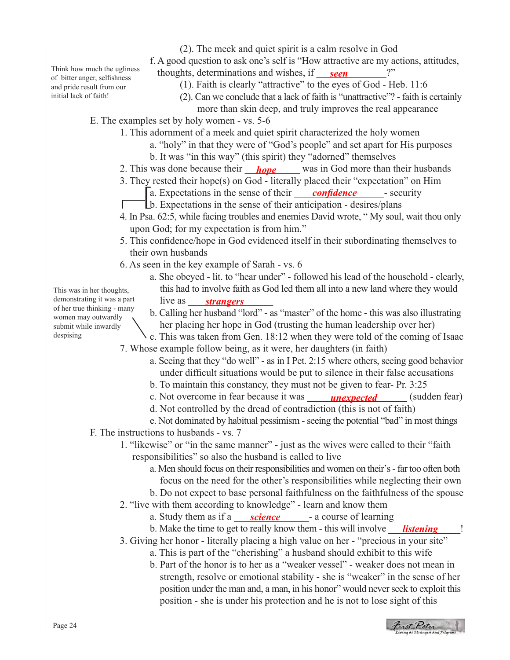Think how much the ugliness of bitter anger, selfishness and pride result from our initial lack of faith!

- (2). The meek and quiet spirit is a calm resolve in God
- f. A good question to ask one's self is "How attractive are my actions, attitudes,
- thoughts, determinations and wishes, if <u>seen</u> 2<sup>7</sup>
	- (1). Faith is clearly "attractive" to the eyes of God Heb. 11:6
	- (2). Can we conclude that a lack of faith is "unattractive"? faith is certainly
	- more than skin deep, and truly improves the real appearance
	- E. The examples set by holy women vs. 5-6
		- 1. This adornment of a meek and quiet spirit characterized the holy women
			- a. "holy" in that they were of "God's people" and set apart for His purposes
			- b. It was "in this way" (this spirit) they "adorned" themselves
- 2. This was done because their *hope* was in God more than their husbands
	- 3. They rested their hope(s) on  $\overline{God}$  literally placed their "expectation" on Him
- a. Expectations in the sense of their *confidence* equal the security a. Expectations in the sense of their *confidence* - sec<br>
b. Expectations in the sense of their anticipation - desires/plans
	-
	- 4. In Psa. 62:5, while facing troubles and enemies David wrote, " My soul, wait thou only upon God; for my expectation is from him."
	- 5. This confidence/hope in God evidenced itself in their subordinating themselves to their own husbands
	- 6. As seen in the key example of Sarah vs. 6
- a. She obeyed lit. to "hear under" followed his lead of the household clearly, this had to involve faith as God led them all into a new land where they would demonstrating it was a part live as *strangers strangers*
	- b. Calling her husband "lord" as "master" of the home this was also illustrating her placing her hope in God (trusting the human leadership over her)

 c. This was taken from Gen. 18:12 when they were told of the coming of Isaac 7. Whose example follow being, as it were, her daughters (in faith)

- a. Seeing that they "do well" as in I Pet. 2:15 where others, seeing good behavior under difficult situations would be put to silence in their false accusations
- b. To maintain this constancy, they must not be given to fear- Pr. 3:25
- c. Not overcome in fear because it was *unexpected* (sudden fear)
- d. Not controlled by the dread of contradiction (this is not of faith)
- e. Not dominated by habitual pessimism seeing the potential "bad" in most things F. The instructions to husbands - vs. 7
	- 1. "likewise" or "in the same manner" just as the wives were called to their "faith responsibilities" so also the husband is called to live
		- a. Men should focus on their responsibilities and women on their's far too often both focus on the need for the other's responsibilities while neglecting their own
		- b. Do not expect to base personal faithfulness on the faithfulness of the spouse
	- 2. "live with them according to knowledge" learn and know them
		- a. Study them as if a <u>science</u> sales a course of learning
- b. Make the time to get to really know them this will involve <u>listening</u>
	- 3. Giving her honor literally placing a high value on her "precious in your site"
		- a. This is part of the "cherishing" a husband should exhibit to this wife
		- b. Part of the honor is to her as a "weaker vessel" weaker does not mean in strength, resolve or emotional stability - she is "weaker" in the sense of her position under the man and, a man, in his honor" would never seek to exploit this position - she is under his protection and he is not to lose sight of this



This was in her thoughts, of her true thinking - many women may outwardly submit while inwardly despising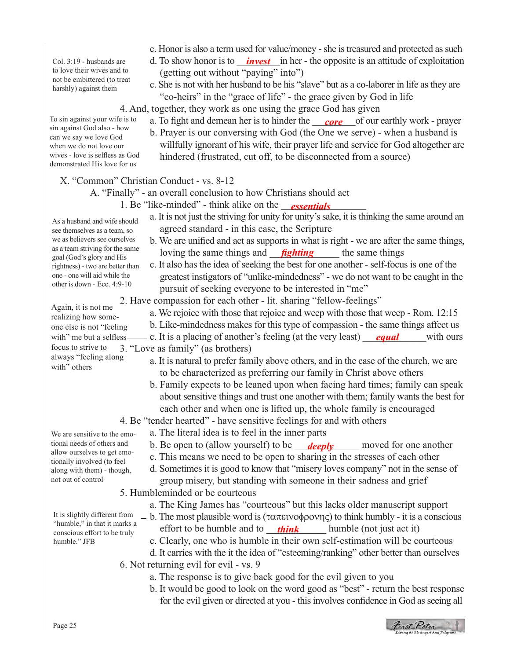Col. 3:19 - husbands are to love their wives and to not be embittered (to treat harshly) against them

sin against God also - how can we say we love God when we do not love our wives - love is selfless as God demonstrated His love for us

- c. Honor is also a term used for value/money she is treasured and protected as such
- bl. 3:19 husbands are **d.** To show honor is to *invest* in her the opposite is an attitude of exploitation (getting out without "paying" into")
	- c. She is not with her husband to be his "slave" but as a co-laborer in life as they are "co-heirs" in the "grace of life" - the grace given by God in life
- 4. And, together, they work as one using the grace God has given To sin against your wife is to
	- a. To fight and demean her is to hinder the <u>core</u> of our earthly work prayer
		- b. Prayer is our conversing with God (the One we serve) when a husband is willfully ignorant of his wife, their prayer life and service for God altogether are hindered (frustrated, cut off, to be disconnected from a source)

#### X. "Common" Christian Conduct - vs. 8-12

- A. "Finally" an overall conclusion to how Christians should act
- 1. Be "like-minded" think alike on the *\_\_\_\_\_\_\_\_\_\_\_\_\_\_\_\_\_\_\_\_\_\_\_\_\_\_\_\_\_\_\_* 
	- a. It is not just the striving for unity for unity's sake, it is thinking the same around an agreed standard - in this case, the Scripture
- b. We are unified and act as supports in what is right we are after the same things, a team surving for the same  $\frac{1}{2}$  loving the same things and  $\frac{fighting}{\frac{1}{2}$  the same things
	- c. It also has the idea of seeking the best for one another self-focus is one of the greatest instigators of "unlike-mindedness" - we do not want to be caught in the pursuit of seeking everyone to be interested in "me"
	- 2. Have compassion for each other lit. sharing "fellow-feelings"
		- a. We rejoice with those that rejoice and weep with those that weep Rom. 12:15
		- b. Like-mindedness makes for this type of compassion the same things affect us
	- c. It is a placing of another's feeling (at the very least) **equal** with ours 3. "Love as family" (as brothers)
		- a. It is natural to prefer family above others, and in the case of the church, we are to be characterized as preferring our family in Christ above others
		- b. Family expects to be leaned upon when facing hard times; family can speak about sensitive things and trust one another with them; family wants the best for each other and when one is lifted up, the whole family is encouraged
	- 4. Be "tender hearted" have sensitive feelings for and with others
		- a. The literal idea is to feel in the inner parts
		- b. Be open to (allow yourself) to be *deeply* moved for one another
		- c. This means we need to be open to sharing in the stresses of each other
		- d. Sometimes it is good to know that "misery loves company" not in the sense of group misery, but standing with someone in their sadness and grief
	- 5. Humbleminded or be courteous
		- a. The King James has "courteous" but this lacks older manuscript support
		- $-$  b. The most plausible word is (ταπεινοφρονης) to think humbly it is a conscious effort to be humble and to *think* humble (not just act it)
			- c. Clearly, one who is humble in their own self-estimation will be courteous d. It carries with the it the idea of "esteeming/ranking" other better than ourselves
	- 6. Not returning evil for evil vs. 9
		- a. The response is to give back good for the evil given to you
		- b. It would be good to look on the word good as "best" return the best response for the evil given or directed at you - this involves confidence in God as seeing all

We are sensitive to the emotional needs of others and allow ourselves to get emotionally involved (to feel along with them) - though, not out of control

It is slightly different from "humble," in that it marks a conscious effort to be truly humble." JFB

as a team striving for the same goal (God's glory and His rightness) - two are better than one - one will aid while the other is down - Ecc. 4:9-10 Again, it is not me realizing how someone else is not "feeling

with" me but a selflessfocus to strive to always "feeling along

with" others

As a husband and wife should see themselves as a team, so we as believers see ourselves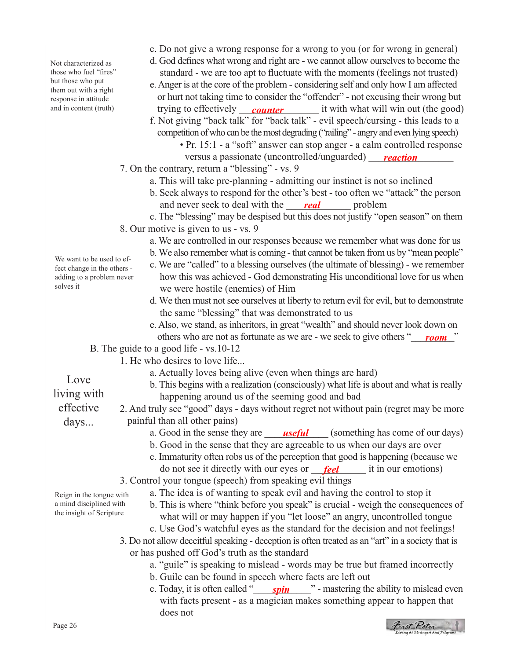Not characterized as those who fuel "fires" but those who put them out with a right response in attitude and in content (truth)

We want to be used to effect change in the others adding to a problem never

- c. Do not give a wrong response for a wrong to you (or for wrong in general)
- d. God defines what wrong and right are we cannot allow ourselves to become the standard - we are too apt to fluctuate with the moments (feelings not trusted)
- e. Anger is at the core of the problem considering self and only how I am affected or hurt not taking time to consider the "offender" - not excusing their wrong but trying to effectively *counter* it with what will win out (the good)
- f. Not giving "back talk" for "back talk" evil speech/cursing this leads to a competition of who can be the most degrading ("railing" - angry and even lying speech)
	- Pr. 15:1 a "soft" answer can stop anger a calm controlled response versus a passionate (uncontrolled/unguarded) *\_\_\_\_\_\_\_\_\_\_\_\_\_\_\_\_\_\_\_\_\_\_\_\_\_\_\_\_\_\_\_\_\_\_*
- 7. On the contrary, return a "blessing" vs. 9
	- a. This will take pre-planning admitting our instinct is not so inclined
- b. Seek always to respond for the other's best too often we "attack" the person and never seek to deal with the <u>real</u> problem
	- c. The "blessing" may be despised but this does not justify "open season" on them 8. Our motive is given to us - vs. 9
		- a. We are controlled in our responses because we remember what was done for us
		- b. We also remember what is coming that cannot be taken from us by "mean people"
		- c. We are "called" to a blessing ourselves (the ultimate of blessing) we remember how this was achieved - God demonstrating His unconditional love for us when we were hostile (enemies) of Him
		- d. We then must not see ourselves at liberty to return evil for evil, but to demonstrate the same "blessing" that was demonstrated to us
		- e. Also, we stand, as inheritors, in great "wealth" and should never look down on
- others who are not as fortunate as we are we seek to give others "*room*"
	- - 1. He who desires to love life...
			- a. Actually loves being alive (even when things are hard)
			- b. This begins with a realization (consciously) what life is about and what is really happening around us of the seeming good and bad
		- 2. And truly see "good" days days without regret not without pain (regret may be more painful than all other pains)
			- a. Good in the sense they are *useful* (something has come of our days)
			- b. Good in the sense that they are agreeable to us when our days are over
- c. Immaturity often robs us of the perception that good is happening (because we do not see it directly with our eyes or **feel** it in our emotions)
	- 3. Control your tongue (speech) from speaking evil things
		- a. The idea is of wanting to speak evil and having the control to stop it
		- b. This is where "think before you speak" is crucial weigh the consequences of what will or may happen if you "let loose" an angry, uncontrolled tongue
		- c. Use God's watchful eyes as the standard for the decision and not feelings!
	- 3. Do not allow deceitful speaking deception is often treated as an "art" in a society that is or has pushed off God's truth as the standard
		- a. "guile" is speaking to mislead words may be true but framed incorrectly
		- b. Guile can be found in speech where facts are left out
- c. Today, it is often called "**\_\_\_\_\_\_\_\_\_\_\_\_\_\_\_\_\_**" mastering the ability to mislead even with facts present - as a magician makes something appear to happen that does not



Reign in the tongue with a mind disciplined with the insight of Scripture

solves it



- B. The guide to a good life vs.10-12
	-
	-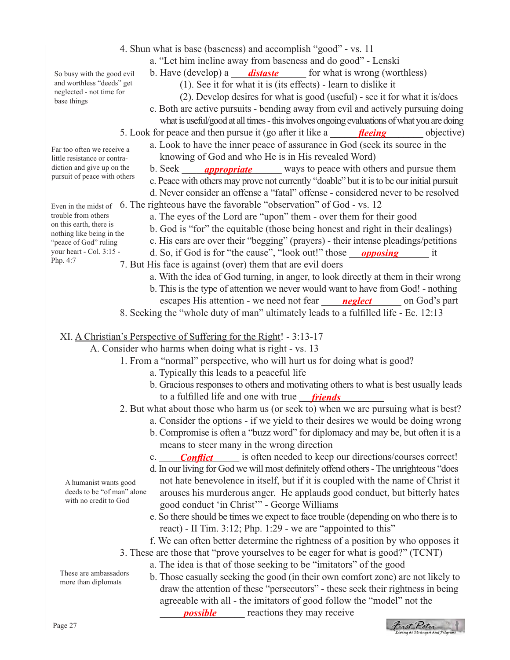- 4. Shun what is base (baseness) and accomplish "good" vs. 11
	- a. "Let him incline away from baseness and do good" Lenski

b. Have (develop) a *\_\_\_\_\_\_\_\_\_\_\_\_\_\_\_\_\_\_\_\_\_\_* for what is wrong (worthless)

(1). See it for what it is (its effects) - learn to dislike it

- (2). Develop desires for what is good (useful) see it for what it is/does
- c. Both are active pursuits bending away from evil and actively pursuing doing
- what is useful/good at all times this involves ongoing evaluations of what you are doing 5. Look for peace and then pursue it (go after it like a  $\theta$  *fleeing* objective) *fleeing*
	- a. Look to have the inner peace of assurance in God (seek its source in the knowing of God and who He is in His revealed Word)
	- b. Seek *appropriate* ways to peace with others and pursue them
	- c. Peace with others may prove not currently "doable" but it is to be our initial pursuit
	- d. Never consider an offense a "fatal" offense considered never to be resolved
- Even in the midst of 6. The righteous have the favorable "observation" of God vs. 12
	- a. The eyes of the Lord are "upon" them over them for their good
	- b. God is "for" the equitable (those being honest and right in their dealings)
	- c. His ears are over their "begging" (prayers) their intense pleadings/petitions
	- d. So, if God is for "the cause", "look out!" those \_\_\_\_\_\_\_\_\_\_\_\_\_\_\_\_ it *opposing*
	- 7. But His face is against (over) them that are evil doers
		- a. With the idea of God turning, in anger, to look directly at them in their wrong
		- b. This is the type of attention we never would want to have from God! nothing
	- escapes His attention we need not fear **neglect** and God's part
		- 8. Seeking the "whole duty of man" ultimately leads to a fulfilled life Ec. 12:13

XI. A Christian's Perspective of Suffering for the Right! - 3:13-17

A. Consider who harms when doing what is right - vs. 13

- 1. From a "normal" perspective, who will hurt us for doing what is good?
	- a. Typically this leads to a peaceful life
	- b. Gracious responses to others and motivating others to what is best usually leads to a fulfilled life and one with true \_\_\_\_\_\_\_\_\_\_\_\_\_\_\_\_\_ *friends*
- 2. But what about those who harm us (or seek to) when we are pursuing what is best?
	- a. Consider the options if we yield to their desires we would be doing wrong b. Compromise is often a "buzz word" for diplomacy and may be, but often it is a
		- means to steer many in the wrong direction

c. *Conflict* is often needed to keep our directions/courses correct!

- d. In our living for God we will most definitely offend others The unrighteous "does not hate benevolence in itself, but if it is coupled with the name of Christ it arouses his murderous anger. He applauds good conduct, but bitterly hates good conduct 'in Christ'" - George Williams
- e. So there should be times we expect to face trouble (depending on who there is to react) - II Tim. 3:12; Php. 1:29 - we are "appointed to this"
- f. We can often better determine the rightness of a position by who opposes it
- 3. These are those that "prove yourselves to be eager for what is good?" (TCNT)
	- a. The idea is that of those seeking to be "imitators" of the good
	- b. Those casually seeking the good (in their own comfort zone) are not likely to draw the attention of these "persecutors" - these seek their rightness in being agreeable with all - the imitators of good follow the "model" not the

reactions they may receive *possible*



trouble from others on this earth, there is nothing like being in the "peace of God" ruling your heart - Col. 3:15 -

> A humanist wants good deeds to be "of man" alone with no credit to God

These are ambassadors more than diplomats

Far too often we receive a little resistance or contradiction and give up on the pursuit of peace with others

So busy with the good evil and worthless "deeds" get neglected - not time for

base things

Php. 4:7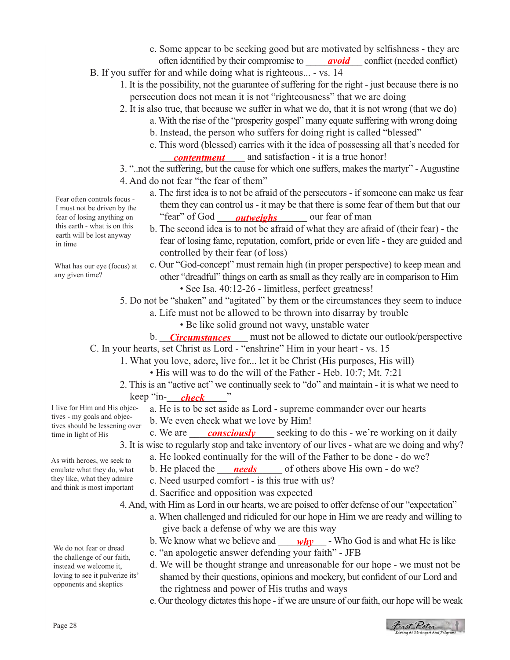- c. Some appear to be seeking good but are motivated by selfishness they are often identified by their compromise to *avoid* conflict (needed conflict)
- B. If you suffer for and while doing what is righteous... vs. 14
	- 1. It is the possibility, not the guarantee of suffering for the right just because there is no persecution does not mean it is not "righteousness" that we are doing
	- 2. It is also true, that because we suffer in what we do, that it is not wrong (that we do)
		- a. With the rise of the "prosperity gospel" many equate suffering with wrong doing
			- b. Instead, the person who suffers for doing right is called "blessed"
- c. This word (blessed) carries with it the idea of possessing all that's needed for *contentment* and satisfaction - it is a true honor!
	- 3. "..not the suffering, but the cause for which one suffers, makes the martyr" Augustine
	- 4. And do not fear "the fear of them"
- a. The first idea is to not be afraid of the persecutors if someone can make us fear them they can control us - it may be that there is some fear of them but that our ear of losing anything on "fear" of God <u>outweighs</u> our fear of man
- b. The second idea is to not be afraid of what they are afraid of (their fear) the Fear often controls focus - I must not be driven by the fear of losing anything on this earth - what is on this earth will be lost anyway in time

What has our eye (focus) at any given time?

c. Our "God-concept" must remain high (in proper perspective) to keep mean and other "dreadful" things on earth as small as they really are in comparison to Him

fear of losing fame, reputation, comfort, pride or even life - they are guided and

- See Isa. 40:12-26 limitless, perfect greatness!
- 5. Do not be "shaken" and "agitated" by them or the circumstances they seem to induce a. Life must not be allowed to be thrown into disarray by trouble
	- Be like solid ground not wavy, unstable water

 b. \_\_\_\_\_\_\_\_\_\_\_\_\_\_\_\_\_\_ must not be allowed to dictate our outlook/perspective *Circumstances* C. In your hearts, set Christ as Lord - "enshrine" Him in your heart - vs. 15

- 1. What you love, adore, live for... let it be Christ (His purposes, His will)
	- His will was to do the will of the Father Heb. 10:7; Mt. 7:21
- 2. This is an "active act" we continually seek to "do" and maintain it is what we need to keep "in-**\_\_\_\_\_check**\_\_\_\_\_\_\_\_"
- a. He is to be set aside as Lord supreme commander over our hearts I live for Him and His objec
	- b. We even check what we love by Him!

controlled by their fear (of loss)

- e in light of His c. We are **consciously** seeking to do this we're working on it daily
	- 3. It is wise to regularly stop and take inventory of our lives what are we doing and why?
		- a. He looked continually for the will of the Father to be done do we?
- ulate what they do, what b. He placed the <u>needs</u> of others above His own do we?
	- c. Need usurped comfort is this true with us?
	- d. Sacrifice and opposition was expected

4. And, with Him as Lord in our hearts, we are poised to offer defense of our "expectation"

- a. When challenged and ridiculed for our hope in Him we are ready and willing to give back a defense of why we are this way
- b. We know what we believe and <u>why</u> Who God is and what He is like
	- c. "an apologetic answer defending your faith" JFB
	- d. We will be thought strange and unreasonable for our hope we must not be shamed by their questions, opinions and mockery, but confident of our Lord and the rightness and power of His truths and ways
	- e. Our theology dictates this hope if we are unsure of our faith, our hope will be weak

tives should be lessening over time in light of His

tives - my goals and objec-

As with heroes, we seek to emulate what they do, what they like, what they admire and think is most important

the challenge of our faith, instead we welcome it, loving to see it pulverize its' opponents and skeptics

We do not fear or dread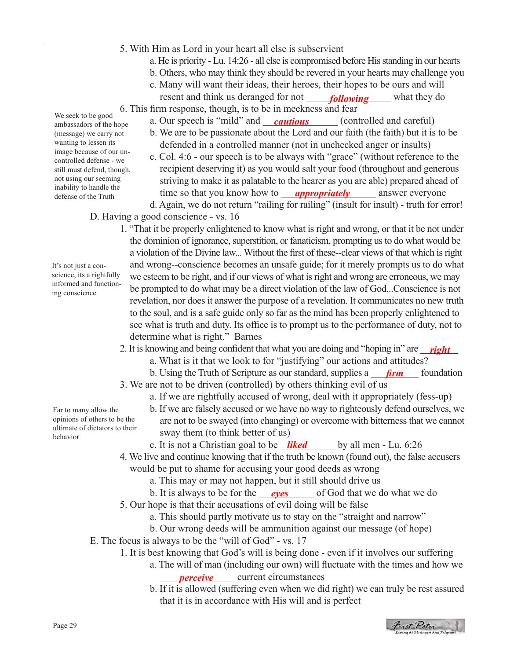- 5. With Him as Lord in your heart all else is subservient
	- a. He is priority Lu. 14:26 all else is compromised before His standing in our hearts
	- b. Others, who may think they should be revered in your hearts may challenge you
	- c. Many will want their ideas, their heroes, their hopes to be ours and will
- resent and think us deranged for not **following** what they do 6. This firm response, though, is to be in meekness and fear
	- a. Our speech is "mild" and *\_\_\_\_\_\_\_\_\_\_\_\_\_\_\_\_* (controlled and careful)
	- b. We are to be passionate about the Lord and our faith (the faith) but it is to be defended in a controlled manner (not in unchecked anger or insults)
- c. Col. 4:6 our speech is to be always with "grace" (without reference to the recipient deserving it) as you would salt your food (throughout and generous striving to make it as palatable to the hearer as you are able) prepared ahead of time so that you know how to <u>**appropriately**</u> answer everyone answer and time so that you know how to *appropriately* answer everyone
	- d. Again, we do not return "railing for railing" (insult for insult) truth for error! D. Having a good conscience - vs. 16
- 1. "That it be properly enlightened to know what is right and wrong, or that it be not under the dominion of ignorance, superstition, or fanaticism, prompting us to do what would be a violation of the Divine law... Without the first of these--clear views of that which is right and wrong--conscience becomes an unsafe guide; for it merely prompts us to do what we esteem to be right, and if our views of what is right and wrong are erroneous, we may be prompted to do what may be a direct violation of the law of God...Conscience is not revelation, nor does it answer the purpose of a revelation. It communicates no new truth to the soul, and is a safe guide only so far as the mind has been properly enlightened to see what is truth and duty. Its office is to prompt us to the performance of duty, not to determine what is right." Barnes science, its a rightfully informed and function-
	- 2. It is knowing and being confident that what you are doing and "hoping in" are \_\_\_\_\_\_\_\_ *right*
		- a. What is it that we look to for "justifying" our actions and attitudes?
		- b. Using the Truth of Scripture as our standard, supplies a *\_\_\_\_\_\_\_\_\_\_\_\_\_*\_\_\_\_\_\_ foundation
	- 3. We are not to be driven (controlled) by others thinking evil of us
		- a. If we are rightfully accused of wrong, deal with it appropriately (fess-up)

Far to many allow the opinions of others to be the ultimate of dictators to their behavior

- b. If we are falsely accused or we have no way to righteously defend ourselves, we are not to be swayed (into changing) or overcome with bitterness that we cannot sway them (to think better of us)
- c. It is not a Christian goal to be *liked* by all men Lu. 6:26
	- 4. We live and continue knowing that if the truth be known (found out), the false accusers would be put to shame for accusing your good deeds as wrong
		- a. This may or may not happen, but it still should drive us
- b. It is always to be for the <u>eyes</u> of God that we do what we do
	- 5. Our hope is that their accusations of evil doing will be false
		- a. This should partly motivate us to stay on the "straight and narrow"
		- b. Our wrong deeds will be ammunition against our message (of hope)
	- E. The focus is always to be the "will of God" vs. 17
		- 1. It is best knowing that God's will is being done even if it involves our suffering
			- a. The will of man (including our own) will fluctuate with the times and how we \_\_\_\_\_\_\_\_\_\_\_\_\_\_\_ current circumstances *perceive*
			- b. If it is allowed (suffering even when we did right) we can truly be rest assured that it is in accordance with His will and is perfect

We seek to be good ambassadors of the hope (message) we carry not wanting to lessen its image because of our uncontrolled defense - we still must defend, though, not using our seeming inability to handle the defense of the Truth

It's not just a con-

ing conscience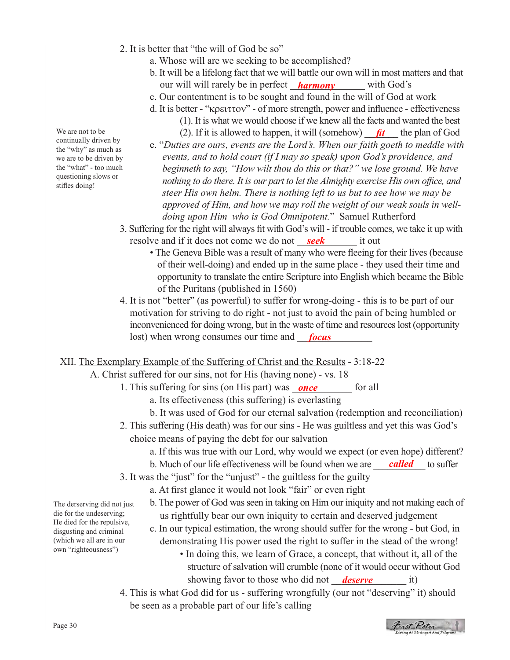- 2. It is better that "the will of God be so"
	- a. Whose will are we seeking to be accomplished?
- b. It will be a lifelong fact that we will battle our own will in most matters and that our will will rarely be in perfect *harmony* with God's
	- c. Our contentment is to be sought and found in the will of God at work
	- d. It is better "κρειττον" of more strength, power and influence effectiveness (1). It is what we would choose if we knew all the facts and wanted the best (2). If it is allowed to happen, it will (somehow)  $\frac{fit}{\sqrt{t}}$  the plan of God
	- e. "*Duties are ours, events are the Lord's. When our faith goeth to meddle with events, and to hold court (if I may so speak) upon God's providence, and beginneth to say, "How wilt thou do this or that?" we lose ground. We have nothing to do there. It is our part to let the Almighty exercise His own office, and steer His own helm. There is nothing left to us but to see how we may be approved of Him, and how we may roll the weight of our weak souls in well doing upon Him who is God Omnipotent.*" Samuel Rutherford
- 3. Suffering for the right will always fit with God's will if trouble comes, we take it up with resolve and if it does not come we do not <u>seek</u> it out
	- The Geneva Bible was a result of many who were fleeing for their lives (because of their well-doing) and ended up in the same place - they used their time and opportunity to translate the entire Scripture into English which became the Bible of the Puritans (published in 1560)
- 4. It is not "better" (as powerful) to suffer for wrong-doing this is to be part of our motivation for striving to do right - not just to avoid the pain of being humbled or inconvenienced for doing wrong, but in the waste of time and resources lost (opportunity lost) when wrong consumes our time and *focus*

#### XII. The Exemplary Example of the Suffering of Christ and the Results - 3:18-22

- A. Christ suffered for our sins, not for His (having none) vs. 18
	- 1. This suffering for sins (on His part) was *once* for all
		- a. Its effectiveness (this suffering) is everlasting
		- b. It was used of God for our eternal salvation (redemption and reconciliation)
	- 2. This suffering (His death) was for our sins He was guiltless and yet this was God's choice means of paying the debt for our salvation
		- a. If this was true with our Lord, why would we expect (or even hope) different?
- b. Much of our life effectiveness will be found when we are <u>called</u> to suffer
	- 3. It was the "just" for the "unjust" the guiltless for the guilty
		- a. At first glance it would not look "fair" or even right
		- b. The power of God was seen in taking on Him our iniquity and not making each of us rightfully bear our own iniquity to certain and deserved judgement
			- c. In our typical estimation, the wrong should suffer for the wrong but God, in demonstrating His power used the right to suffer in the stead of the wrong!
- In doing this, we learn of Grace, a concept, that without it, all of the structure of salvation will crumble (none of it would occur without God showing favor to those who did not \_\_\_\_\_\_\_\_\_\_\_\_\_\_\_ it) *deserve*
	- 4. This is what God did for us suffering wrongfully (our not "deserving" it) should be seen as a probable part of our life's calling

The derserving did not just die for the undeserving; He died for the repulsive, disgusting and criminal (which we all are in our own "righteousness")

We are not to be continually driven by the "why" as much as we are to be driven by the "what" - too much questioning slows or stifles doing!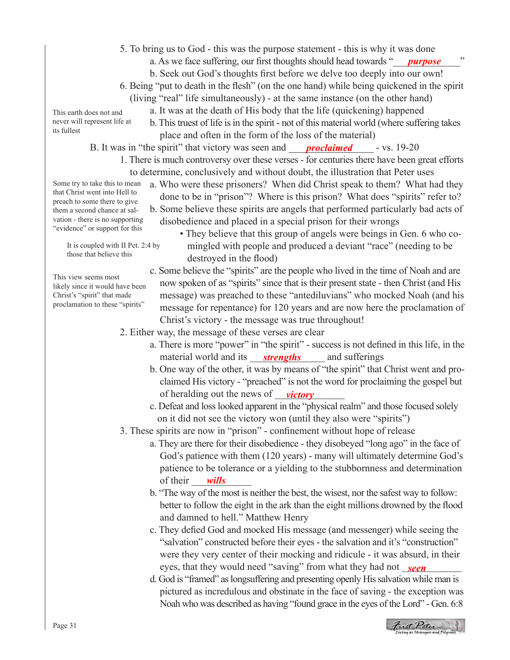- 5. To bring us to God this was the purpose statement this is why it was done
	- a. As we face suffering, our first thoughts should head towards "*\_\_\_\_\_\_\_\_\_\_\_\_\_\_\_*"
	- b. Seek out God's thoughts first before we delve too deeply into our own!
- 6. Being "put to death in the flesh" (on the one hand) while being quickened in the spirit
	- (living "real" life simultaneously) at the same instance (on the other hand)
		- a. It was at the death of His body that the life (quickening) happened
			- b. This truest of life is in the spirit not of this material world (where suffering takes place and often in the form of the loss of the material)

B. It was in "the spirit" that victory was seen and **proclaimed** - vs. 19-20

- 1. There is much controversy over these verses for centuries there have been great efforts to determine, conclusively and without doubt, the illustration that Peter uses
	- a. Who were these prisoners? When did Christ speak to them? What had they done to be in "prison"? Where is this prison? What does "spirits" refer to? b. Some believe these spirits are angels that performed particularly bad acts of
	- disobedience and placed in a special prison for their wrongs
- It is coupled with II Pet. 2:4 by those that believe this

This view seems most likely since it would have been Christ's "spirit" that made proclamation to these "spirits"

This earth does not and never will represent life at

Some try to take this to mean that Christ went into Hell to preach to some there to give them a second chance at salvation - there is no supporting "evidence" or support for this

its fullest

- They believe that this group of angels were beings in Gen. 6 who co mingled with people and produced a deviant "race" (needing to be destroyed in the flood)
- c. Some believe the "spirits" are the people who lived in the time of Noah and are now spoken of as "spirits" since that is their present state - then Christ (and His message) was preached to these "antediluvians" who mocked Noah (and his message for repentance) for 120 years and are now here the proclamation of Christ's victory - the message was true throughout!
- 2. Either way, the message of these verses are clear
- a. There is more "power" in "the spirit" success is not defined in this life, in the material world and its *\_\_\_\_\_\_\_\_\_\_\_\_\_\_\_\_\_\_\_\_\_\_\_\_\_\_\_* and sufferings
- b. One way of the other, it was by means of "the spirit" that Christ went and pro claimed His victory - "preached" is not the word for proclaiming the gospel but of heralding out the news of <u>victory</u>
	- c. Defeat and loss looked apparent in the "physical realm" and those focused solely on it did not see the victory won (until they also were "spirits")
	- 3. These spirits are now in "prison" confinement without hope of release
		- a. They are there for their disobedience they disobeyed "long ago" in the face of God's patience with them (120 years) - many will ultimately determine God's patience to be tolerance or a yielding to the stubbornness and determination of their *wills*
		- b. "The way of the most is neither the best, the wisest, nor the safest way to follow: better to follow the eight in the ark than the eight millions drowned by the flood and damned to hell." Matthew Henry
- c. They defied God and mocked His message (and messenger) while seeing the "salvation" constructed before their eyes - the salvation and it's "construction" were they very center of their mocking and ridicule - it was absurd, in their eyes, that they would need "saving" from what they had not *\_seen* 
	- d. God is "framed" as longsuffering and presenting openly His salvation while man is pictured as incredulous and obstinate in the face of saving - the exception was Noah who was described as having "found grace in the eyes of the Lord" - Gen. 6:8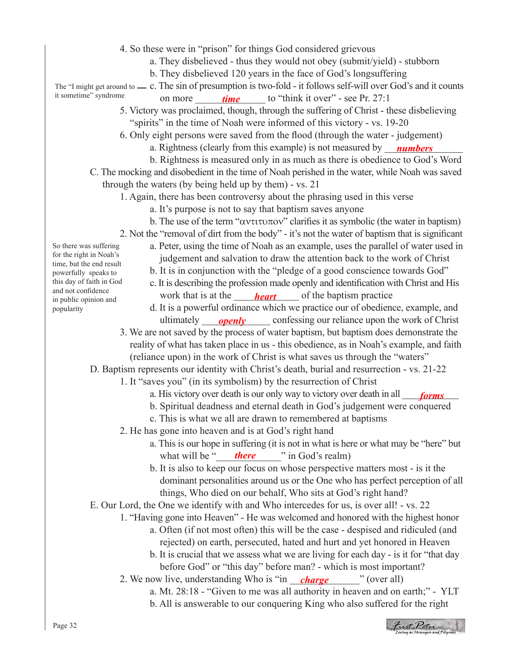- 4. So these were in "prison" for things God considered grievous
	- a. They disbelieved thus they would not obey (submit/yield) stubborn
	- b. They disbelieved 120 years in the face of God's longsuffering

The "I might get around to — c. The sin of presumption is two-fold - it follows self-will over God's and it counts sometime" syndrome on more <u>time</u> to "think it over" - see Pr. 27:1 it sometime" syndrome

- 5. Victory was proclaimed, though, through the suffering of Christ these disbelieving "spirits" in the time of Noah were informed of this victory - vs. 19-20
- 6. Only eight persons were saved from the flood (through the water judgement)
	- a. Rightness (clearly from this example) is not measured by *numbers*
- b. Rightness is measured only in as much as there is obedience to God's Word C. The mocking and disobedient in the time of Noah perished in the water, while Noah was saved
	- through the waters (by being held up by them) vs. 21
		- 1. Again, there has been controversy about the phrasing used in this verse
			- a. It's purpose is not to say that baptism saves anyone
			- b. The use of the term " $\alpha$ ντιτυπον" clarifies it as symbolic (the water in baptism)
		- 2. Not the "removal of dirt from the body" it's not the water of baptism that is significant
			- a. Peter, using the time of Noah as an example, uses the parallel of water used in judgement and salvation to draw the attention back to the work of Christ
			- b. It is in conjunction with the "pledge of a good conscience towards God"
- c. It is describing the profession made openly and identification with Christ and His work that is at the *heart* of the baptism practice of the baptism practice
- d. It is a powerful ordinance which we practice our of obedience, example, and ultimately *openly* confessing our reliance upon the work of Christ
	- 3. We are not saved by the process of water baptism, but baptism does demonstrate the reality of what has taken place in us - this obedience, as in Noah's example, and faith (reliance upon) in the work of Christ is what saves us through the "waters"

D. Baptism represents our identity with Christ's death, burial and resurrection - vs. 21-22

- 1. It "saves you" (in its symbolism) by the resurrection of Christ
- a. His victory over death is our only way to victory over death in all *\_\_\_\_\_\_\_\_\_\_\_\_\_\_\_\_\_* 
	- b. Spiritual deadness and eternal death in God's judgement were conquered
	- c. This is what we all are drawn to remembered at baptisms
	- 2. He has gone into heaven and is at God's right hand
- a. This is our hope in suffering (it is not in what is here or what may be "here" but what will be "*here* " in God's realm)
	- b. It is also to keep our focus on whose perspective matters most is it the dominant personalities around us or the One who has perfect perception of all things, Who died on our behalf, Who sits at God's right hand?

E. Our Lord, the One we identify with and Who intercedes for us, is over all! - vs. 22

- 1. "Having gone into Heaven" He was welcomed and honored with the highest honor a. Often (if not most often) this will be the case - despised and ridiculed (and
	- rejected) on earth, persecuted, hated and hurt and yet honored in Heaven b. It is crucial that we assess what we are living for each day - is it for "that day
	- before God" or "this day" before man? which is most important?
- 2. We now live, understanding Who is "in *\_\_\_\_\_\_\_\_\_\_\_\_\_\_\_\_\_*" (over all)
	- a. Mt. 28:18 "Given to me was all authority in heaven and on earth;" YLT
	- b. All is answerable to our conquering King who also suffered for the right

First Peter<br>Eiving as Strangers and Pilgrin

So there was suffering for the right in Noah's time, but the end result powerfully speaks to this day of faith in God and not confidence in public opinion and popularity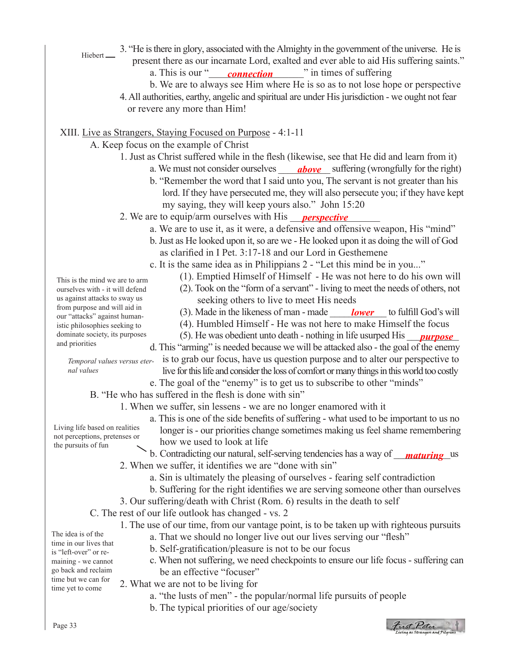- 3. "He is there in glory, associated with the Almighty in the government of the universe. He is present there as our incarnate Lord, exalted and ever able to aid His suffering saints." a. This is our " $\epsilon$  *connection*" in times of suffering b. We are to always see Him where He is so as to not lose hope or perspective 4. All authorities, earthy, angelic and spiritual are under His jurisdiction - we ought not fear or revere any more than Him! XIII. Live as Strangers, Staying Focused on Purpose - 4:1-11 A. Keep focus on the example of Christ 1. Just as Christ suffered while in the flesh (likewise, see that He did and learn from it) a. We must not consider ourselves *above* suffering (wrongfully for the right) b. "Remember the word that I said unto you, The servant is not greater than his lord. If they have persecuted me, they will also persecute you; if they have kept my saying, they will keep yours also." John 15:20 2. We are to equip/arm ourselves with His \_\_\_\_\_\_\_\_\_\_\_\_\_\_\_\_\_\_ *perspective* a. We are to use it, as it were, a defensive and offensive weapon, His "mind" b. Just as He looked upon it, so are we - He looked upon it as doing the will of God as clarified in I Pet. 3:17-18 and our Lord in Gesthemene c. It is the same idea as in Philippians 2 - "Let this mind be in you..." (1). Emptied Himself of Himself - He was not here to do his own will (2). Took on the "form of a servant" - living to meet the needs of others, not seeking others to live to meet His needs (3). Made in the likeness of man - made *Lower* to fulfill God's will (4). Humbled Himself - He was not here to make Himself the focus (5). He was obedient unto death - nothing in life usurped His *\_\_\_\_\_\_\_\_\_\_\_\_\_\_\_\_\_\_\_*  d. This "arming" is needed because we will be attacked also - the goal of the enemy is to grab our focus, have us question purpose and to alter our perspective to live for this life and consider the loss of comfort or many things in this world too costly e. The goal of the "enemy" is to get us to subscribe to other "minds" B. "He who has suffered in the flesh is done with sin" 1. When we suffer, sin lessens - we are no longer enamored with it a. This is one of the side benefits of suffering - what used to be important to us no longer is - our priorities change sometimes making us feel shame remembering how we used to look at life b. Contradicting our natural, self-serving tendencies has a way of \_\_\_\_\_\_\_\_\_\_\_\_us *maturing*2. When we suffer, it identifies we are "done with sin" a. Sin is ultimately the pleasing of ourselves - fearing self contradiction b. Suffering for the right identifies we are serving someone other than ourselves 3. Our suffering/death with Christ (Rom. 6) results in the death to self C. The rest of our life outlook has changed - vs. 2 1. The use of our time, from our vantage point, is to be taken up with righteous pursuits a. That we should no longer live out our lives serving our "flesh" b. Self-gratification/pleasure is not to be our focus c. When not suffering, we need checkpoints to ensure our life focus - suffering can be an effective "focuser" 2. What we are not to be living for Hiebert-This is the mind we are to arm ourselves with - it will defend us against attacks to sway us from purpose and will aid in our "attacks" against humanistic philosophies seeking to dominate society, its purposes and priorities *Temporal values versus eternal values* The idea is of the time in our lives that is "left-over" or remaining - we cannot go back and reclaim time but we can for time yet to come Living life based on realities not perceptions, pretenses or the pursuits of fun *connection*
	- - a. "the lusts of men" the popular/normal life pursuits of people
		- b. The typical priorities of our age/society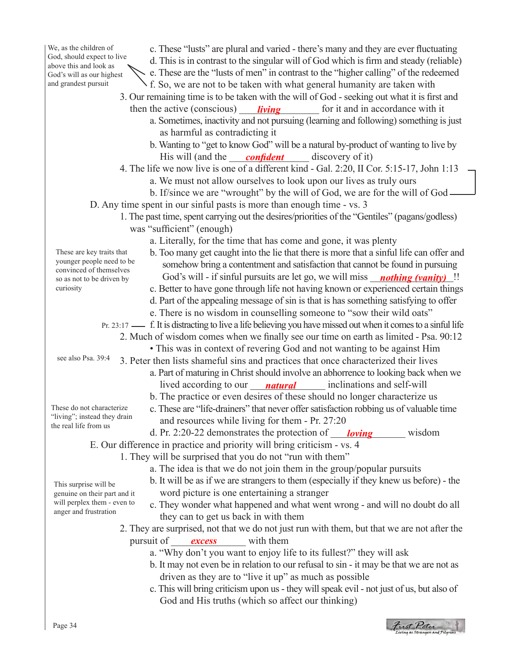c. These "lusts" are plural and varied - there's many and they are ever fluctuating d. This is in contrast to the singular will of God which is firm and steady (reliable) e. These are the "lusts of men" in contrast to the "higher calling" of the redeemed f. So, we are not to be taken with what general humanity are taken with 3. Our remaining time is to be taken with the will of God - seeking out what it is first and then the active (conscious) *living* for it and in accordance with it a. Sometimes, inactivity and not pursuing (learning and following) something is just as harmful as contradicting it b. Wanting to "get to know God" will be a natural by-product of wanting to live by His will (and the *confident* discovery of it) 4. The life we now live is one of a different kind - Gal. 2:20, II Cor. 5:15-17, John 1:13 a. We must not allow ourselves to look upon our lives as truly ours b. If/since we are "wrought" by the will of God, we are for the will of God D. Any time spent in our sinful pasts is more than enough time - vs. 3 1. The past time, spent carrying out the desires/priorities of the "Gentiles" (pagans/godless) was "sufficient" (enough) a. Literally, for the time that has come and gone, it was plenty b. Too many get caught into the lie that there is more that a sinful life can offer and somehow bring a contentment and satisfaction that cannot be found in pursuing go as not to be driven by God's will - if sinful pursuits are let go, we will miss *\_\_\_\_\_\_\_\_\_\_\_\_\_\_\_\_\_\_\_\_\_\_\_\_\_\_\_\_*  c. Better to have gone through life not having known or experienced certain things d. Part of the appealing message of sin is that is has something satisfying to offer e. There is no wisdom in counselling someone to "sow their wild oats" Pr. 23:17 — f. It is distracting to live a life believing you have missed out when it comes to a sinful life 2. Much of wisdom comes when we finally see our time on earth as limited - Psa. 90:12 • This was in context of revering God and not wanting to be against Him 3. Peter then lists shameful sins and practices that once characterized their lives a. Part of maturing in Christ should involve an abhorrence to looking back when we lived according to our *\_\_\_\_\_\_\_\_\_\_\_\_\_\_\_\_\_\_\_\_\_* inclinations and self-will b. The practice or even desires of these should no longer characterize us c. These are "life-drainers" that never offer satisfaction robbing us of valuable time and resources while living for them - Pr. 27:20 d. Pr. 2:20-22 demonstrates the protection of *loving* wisdom E. Our difference in practice and priority will bring criticism - vs. 4 1. They will be surprised that you do not "run with them" a. The idea is that we do not join them in the group/popular pursuits b. It will be as if we are strangers to them (especially if they knew us before) - the word picture is one entertaining a stranger c. They wonder what happened and what went wrong - and will no doubt do all they can to get us back in with them 2. They are surprised, not that we do not just run with them, but that we are not after the pursuit of <u>excess</u> with them a. "Why don't you want to enjoy life to its fullest?" they will ask b. It may not even be in relation to our refusal to sin - it may be that we are not as driven as they are to "live it up" as much as possible c. This will bring criticism upon us - they will speak evil - not just of us, but also of God and His truths (which so affect our thinking) We, as the children of God, should expect to live above this and look as God's will as our highest and grandest pursuit These are key traits that younger people need to be convinced of themselves so as not to be driven by curiosity see also Psa. 39:4 These do not characterize "living"; instead they drain the real life from us This surprise will be genuine on their part and it will perplex them - even to anger and frustration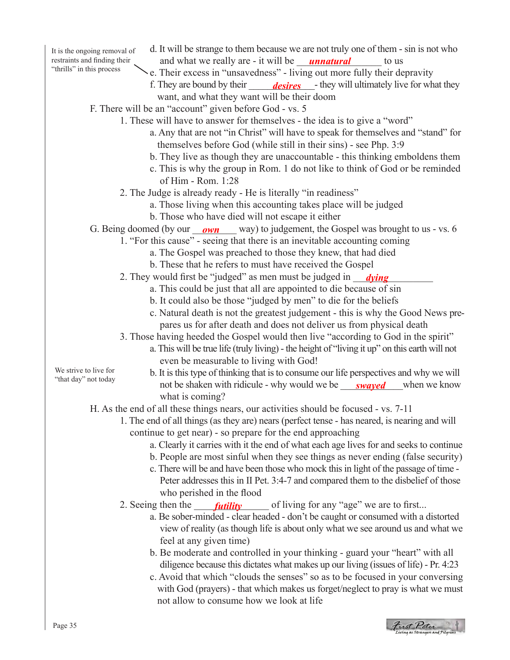- d. It will be strange to them because we are not truly one of them sin is not who traints and finding their and what we really are - it will be **unnatural** to us e. Their excess in "unsavedness" - living out more fully their depravity f. They are bound by their \_\_\_\_\_\_\_\_\_\_\_\_\_\_- they will ultimately live for what they *desires* want, and what they want will be their doom F. There will be an "account" given before God - vs. 5 1. These will have to answer for themselves - the idea is to give a "word" a. Any that are not "in Christ" will have to speak for themselves and "stand" for themselves before God (while still in their sins) - see Php. 3:9 b. They live as though they are unaccountable - this thinking emboldens them c. This is why the group in Rom. 1 do not like to think of God or be reminded of Him - Rom.  $1:28$  2. The Judge is already ready - He is literally "in readiness" a. Those living when this accounting takes place will be judged b. Those who have died will not escape it either G. Being doomed (by our *\_\_\_\_\_\_\_\_\_\_\_\_*\_\_ way) to judgement, the Gospel was brought to us - vs. 6 1. "For this cause" - seeing that there is an inevitable accounting coming a. The Gospel was preached to those they knew, that had died b. These that he refers to must have received the Gospel 2. They would first be "judged" as men must be judged in *\_\_\_\_\_\_\_\_\_\_\_\_\_\_\_\_\_\_\_\_\_\_*\_ a. This could be just that all are appointed to die because of sin b. It could also be those "judged by men" to die for the beliefs c. Natural death is not the greatest judgement - this is why the Good News pre pares us for after death and does not deliver us from physical death 3. Those having heeded the Gospel would then live "according to God in the spirit" a. This will be true life (truly living) - the height of "living it up" on this earth will not even be measurable to living with God! b. It is this type of thinking that is to consume our life perspectives and why we will not be shaken with ridicule - why would we be <u>swayed</u> when we know what is coming? H. As the end of all these things nears, our activities should be focused - vs. 7-11 1. The end of all things (as they are) nears (perfect tense - has neared, is nearing and will continue to get near) - so prepare for the end approaching a. Clearly it carries with it the end of what each age lives for and seeks to continue b. People are most sinful when they see things as never ending (false security) c. There will be and have been those who mock this in light of the passage of time - Peter addresses this in II Pet. 3:4-7 and compared them to the disbelief of those who perished in the flood 2. Seeing then the *futility* of living for any "age" we are to first... a. Be sober-minded - clear headed - don't be caught or consumed with a distorted view of reality (as though life is about only what we see around us and what we feel at any given time) b. Be moderate and controlled in your thinking - guard your "heart" with all diligence because this dictates what makes up our living (issues of life) - Pr. 4:23 It is the ongoing removal of restraints and finding their "thrills" in this process We strive to live for "that day" not today
	- c. Avoid that which "clouds the senses" so as to be focused in your conversing with God (prayers) - that which makes us forget/neglect to pray is what we must not allow to consume how we look at life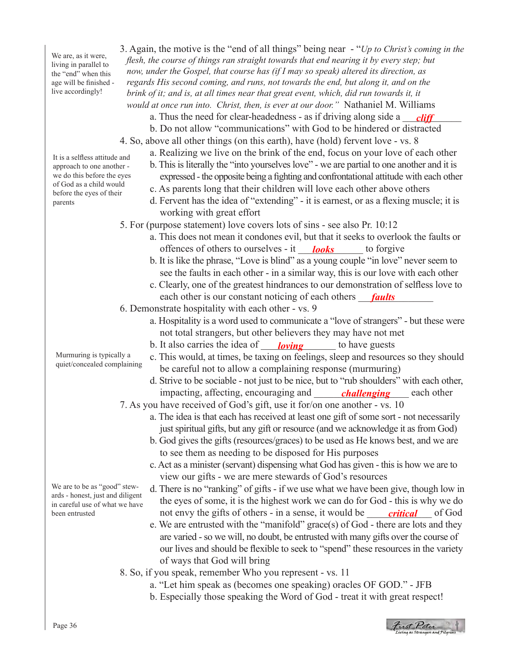We are, as it were, living in parallel to the "end" when this age will be finished live accordingly!

It is a selfless attitude and approach to one another we do this before the eyes of God as a child would before the eyes of their parents

Murmuring is typically a quiet/concealed complaining

We are to be as "good" stewards - honest, just and diligent in careful use of what we have been entrusted

- 3. Again, the motive is the "end of all things" being near "*Up to Christ's coming in the flesh, the course of things ran straight towards that end nearing it by every step; but now, under the Gospel, that course has (if I may so speak) altered its direction, as regards His second coming, and runs, not towards the end, but along it, and on the brink of it; and is, at all times near that great event, which, did run towards it, it would at once run into. Christ, then, is ever at our door."* Nathaniel M. Williams a. Thus the need for clear-headedness - as if driving along side a *\_\_\_\_\_\_\_\_\_\_\_\_\_\_\_\_*  b. Do not allow "communications" with God to be hindered or distracted 4. So, above all other things (on this earth), have (hold) fervent love - vs. 8 a. Realizing we live on the brink of the end, focus on your love of each other
	- b. This is literally the "into yourselves love" we are partial to one another and it is expressed - the opposite being a fighting and confrontational attitude with each other
	- c. As parents long that their children will love each other above others
	- d. Fervent has the idea of "extending" it is earnest, or as a flexing muscle; it is working with great effort
	- 5. For (purpose statement) love covers lots of sins see also Pr. 10:12
- a. This does not mean it condones evil, but that it seeks to overlook the faults or offences of others to ourselves - it *looks* to forgive
	- b. It is like the phrase, "Love is blind" as a young couple "in love" never seem to see the faults in each other - in a similar way, this is our love with each other
- c. Clearly, one of the greatest hindrances to our demonstration of selfless love to each other is our constant noticing of each others **faults** 
	- 6. Demonstrate hospitality with each other vs. 9
		- a. Hospitality is a word used to communicate a "love of strangers" but these were not total strangers, but other believers they may have not met
- b. It also carries the idea of *loving* to have guests
	- c. This would, at times, be taxing on feelings, sleep and resources so they should be careful not to allow a complaining response (murmuring)
- d. Strive to be sociable not just to be nice, but to "rub shoulders" with each other, impacting, affecting, encouraging and *challenging* each other
	- 7. As you have received of God's gift, use it for/on one another vs. 10
		- a. The idea is that each has received at least one gift of some sort not necessarily just spiritual gifts, but any gift or resource (and we acknowledge it as from God)
		- b. God gives the gifts (resources/graces) to be used as He knows best, and we are to see them as needing to be disposed for His purposes
		- c. Act as a minister (servant) dispensing what God has given this is how we are to view our gifts - we are mere stewards of God's resources
- d. There is no "ranking" of gifts if we use what we have been give, though low in the eyes of some, it is the highest work we can do for God - this is why we do en entrusted **come and the control of God** control of God control of God control of God control of God control of God control of God control of God control of God control of God control of God control of God control of God
	- e. We are entrusted with the "manifold" grace(s) of God there are lots and they are varied - so we will, no doubt, be entrusted with many gifts over the course of our lives and should be flexible to seek to "spend" these resources in the variety of ways that God will bring
	- 8. So, if you speak, remember Who you represent vs. 11
		- a. "Let him speak as (becomes one speaking) oracles OF GOD." JFB
		- b. Especially those speaking the Word of God treat it with great respect!

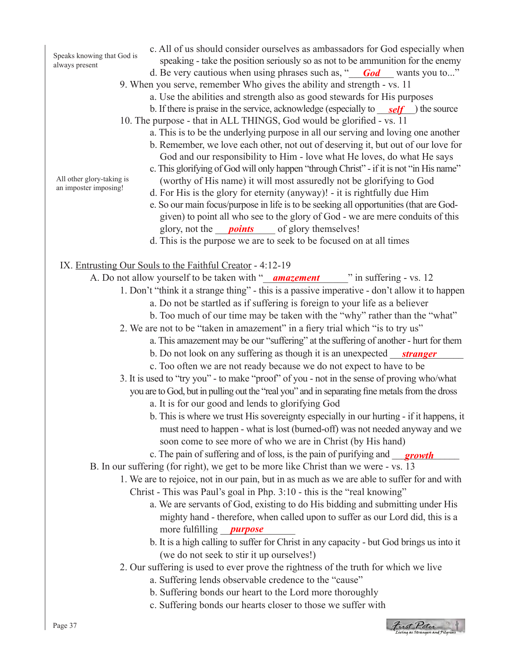Speaks knowing that God is always present

All other glory-taking is an imposter imposing!

- c. All of us should consider ourselves as ambassadors for God especially when
- speaking take the position seriously so as not to be ammunition for the enemy
- d. Be very cautious when using phrases such as, "**God** wants you to..." 9. When you serve, remember Who gives the ability and strength - vs. 11
	- a. Use the abilities and strength also as good stewards for His purposes
	- b. If there is praise in the service, acknowledge (especially to <u>self</u>) the source
	- 10. The purpose that in ALL THINGS, God would be glorified vs. 11
		- a. This is to be the underlying purpose in all our serving and loving one another
		- b. Remember, we love each other, not out of deserving it, but out of our love for God and our responsibility to Him - love what He loves, do what He says
		- c. This glorifying of God will only happen "through Christ" if it is not "in His name" (worthy of His name) it will most assuredly not be glorifying to God
		- d. For His is the glory for eternity (anyway)! it is rightfully due Him
- e. So our main focus/purpose in life is to be seeking all opportunities (that are God given) to point all who see to the glory of God - we are mere conduits of this glory, not the **points** of glory themselves!
	- d. This is the purpose we are to seek to be focused on at all times

## IX. Entrusting Our Souls to the Faithful Creator - 4:12-19

- A. Do not allow yourself to be taken with "*amazement* " in suffering vs. 12
	- 1. Don't "think it a strange thing" this is a passive imperative don't allow it to happen
		- a. Do not be startled as if suffering is foreign to your life as a believer
		- b. Too much of our time may be taken with the "why" rather than the "what"
	- 2. We are not to be "taken in amazement" in a fiery trial which "is to try us"
		- a. This amazement may be our "suffering" at the suffering of another hurt for them
- b. Do not look on any suffering as though it is an unexpected <u>stranger</u>
	- c. Too often we are not ready because we do not expect to have to be
	- 3. It is used to "try you" to make "proof" of you not in the sense of proving who/what
		- you are to God, but in pulling out the "real you" and in separating fine metals from the dross
			- a. It is for our good and lends to glorifying God
			- b. This is where we trust His sovereignty especially in our hurting if it happens, it must need to happen - what is lost (burned-off) was not needed anyway and we soon come to see more of who we are in Christ (by His hand)
- c. The pain of suffering and of loss, is the pain of purifying and **growth** 
	- B. In our suffering (for right), we get to be more like Christ than we were vs. 13
		- 1. We are to rejoice, not in our pain, but in as much as we are able to suffer for and with
			- Christ This was Paul's goal in Php. 3:10 this is the "real knowing"
				- a. We are servants of God, existing to do His bidding and submitting under His mighty hand - therefore, when called upon to suffer as our Lord did, this is a more fulfilling *\_\_\_\_\_\_\_\_\_\_\_\_\_\_\_\_\_\_\_\_\_\_\_\_\_\_\_\_\_\_\_*
				- b. It is a high calling to suffer for Christ in any capacity but God brings us into it (we do not seek to stir it up ourselves!)
		- 2. Our suffering is used to ever prove the rightness of the truth for which we live
			- a. Suffering lends observable credence to the "cause"
			- b. Suffering bonds our heart to the Lord more thoroughly
			- c. Suffering bonds our hearts closer to those we suffer with

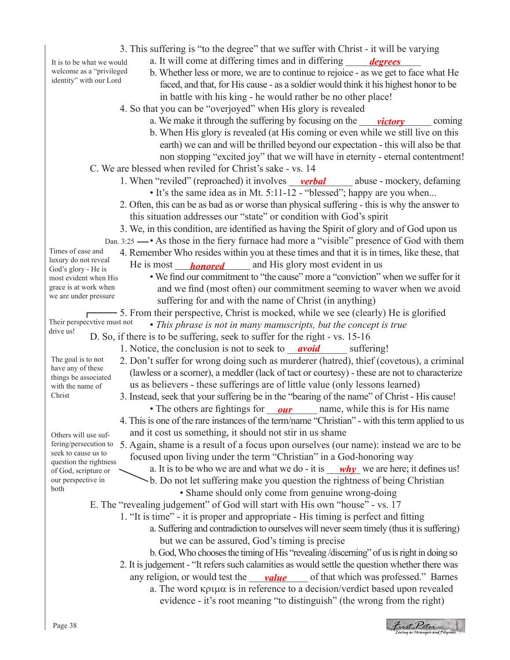|                                                | 3. This suffering is "to the degree" that we suffer with Christ - it will be varying                                                                    |
|------------------------------------------------|---------------------------------------------------------------------------------------------------------------------------------------------------------|
| It is to be what we would                      | a. It will come at differing times and in differing _____ degrees                                                                                       |
| welcome as a "privileged                       | b. Whether less or more, we are to continue to rejoice - as we get to face what He                                                                      |
| identity" with our Lord                        | faced, and that, for His cause - as a soldier would think it his highest honor to be                                                                    |
|                                                | in battle with his king - he would rather be no other place!                                                                                            |
|                                                | 4. So that you can be "overjoyed" when His glory is revealed                                                                                            |
|                                                | a. We make it through the suffering by focusing on the<br>victory<br>coming                                                                             |
|                                                | b. When His glory is revealed (at His coming or even while we still live on this                                                                        |
|                                                | earth) we can and will be thrilled beyond our expectation - this will also be that                                                                      |
|                                                |                                                                                                                                                         |
|                                                | non stopping "excited joy" that we will have in eternity - eternal contentment!                                                                         |
|                                                | C. We are blessed when reviled for Christ's sake - vs. 14                                                                                               |
|                                                | 1. When "reviled" (reproached) it involves verbal abuse - mockery, defaming                                                                             |
|                                                | • It's the same idea as in Mt. 5:11-12 - "blessed"; happy are you when                                                                                  |
|                                                | 2. Often, this can be as bad as or worse than physical suffering - this is why the answer to                                                            |
|                                                | this situation addresses our "state" or condition with God's spirit                                                                                     |
|                                                | 3. We, in this condition, are identified as having the Spirit of glory and of God upon us                                                               |
|                                                | Dan. $3:25 \longrightarrow$ As those in the fiery furnace had more a "visible" presence of God with them                                                |
| Times of ease and                              | 4. Remember Who resides within you at these times and that it is in times, like these, that                                                             |
| luxury do not reveal                           | He is most <b><i>honored</i></b> and His glory most evident in us                                                                                       |
| God's glory - He is<br>most evident when His   | • We find our commitment to "the cause" more a "conviction" when we suffer for it                                                                       |
| grace is at work when                          | and we find (most often) our commitment seeming to waver when we avoid                                                                                  |
| we are under pressure                          | suffering for and with the name of Christ (in anything)                                                                                                 |
|                                                | - 5. From their perspective, Christ is mocked, while we see (clearly) He is glorified                                                                   |
| Their perspecvtive must not                    | • This phrase is not in many manuscripts, but the concept is true                                                                                       |
| drive us!                                      | D. So, if there is to be suffering, seek to suffer for the right - vs. 15-16                                                                            |
|                                                | 1. Notice, the conclusion is not to seek to <b><i>avoid</i></b> suffering!                                                                              |
| The goal is to not                             |                                                                                                                                                         |
|                                                |                                                                                                                                                         |
|                                                | 2. Don't suffer for wrong doing such as murderer (hatred), thief (covetous), a criminal                                                                 |
| have any of these<br>things be associated      | (lawless or a scorner), a meddler (lack of tact or courtesy) - these are not to characterize                                                            |
| with the name of                               | us as believers - these sufferings are of little value (only lessons learned)                                                                           |
| Christ                                         | 3. Instead, seek that your suffering be in the "bearing of the name" of Christ - His cause!                                                             |
|                                                | • The others are fightings for $\omega$ <i>our</i> name, while this is for His name                                                                     |
|                                                | 4. This is one of the rare instances of the term/name "Christian" - with this term applied to us                                                        |
| Others will use suf-                           | and it cost us something, it should not stir in us shame                                                                                                |
| fering/persecution to                          | 5. Again, shame is a result of a focus upon ourselves (our name): instead we are to be                                                                  |
| seek to cause us to                            | focused upon living under the term "Christian" in a God-honoring way                                                                                    |
| question the rightness<br>of God, scripture or | a. It is to be who we are and what we do - it is $why$ we are here; it defines us!                                                                      |
| our perspective in                             | b. Do not let suffering make you question the rightness of being Christian                                                                              |
| both                                           | • Shame should only come from genuine wrong-doing                                                                                                       |
|                                                | E. The "revealing judgement" of God will start with His own "house" - vs. 17                                                                            |
|                                                |                                                                                                                                                         |
|                                                | 1. "It is time" - it is proper and appropriate - His timing is perfect and fitting                                                                      |
|                                                | a. Suffering and contradiction to ourselves will never seem timely (thus it is suffering)                                                               |
|                                                | but we can be assured, God's timing is precise                                                                                                          |
|                                                | b. God, Who chooses the timing of His "revealing /discerning" of us is right in doing so                                                                |
|                                                | 2. It is judgement - "It refers such calamities as would settle the question whether there was                                                          |
|                                                | any religion, or would test the <i>value</i> of that which was professed." Barnes                                                                       |
|                                                | a. The word κριμα is in reference to a decision/verdict based upon revealed<br>evidence - it's root meaning "to distinguish" (the wrong from the right) |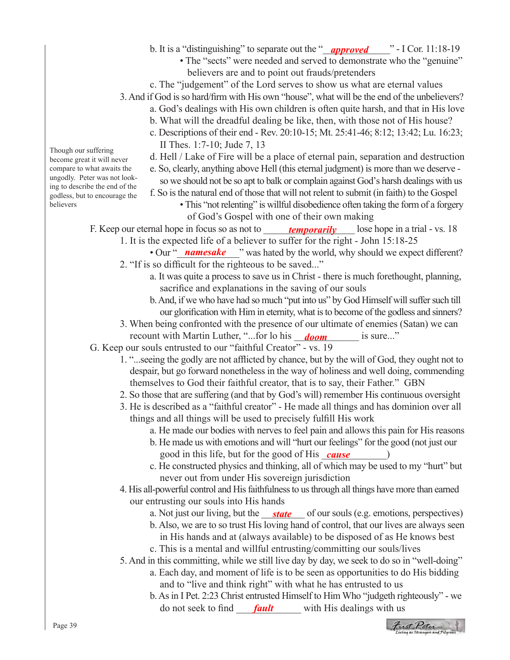- b. It is a "distinguishing" to separate out the "*approved* " I Cor. 11:18-19 • The "sects" were needed and served to demonstrate who the "genuine" believers are and to point out frauds/pretenders
	- c. The "judgement" of the Lord serves to show us what are eternal values
	- 3. And if God is so hard/firm with His own "house", what will be the end of the unbelievers?
		- a. God's dealings with His own children is often quite harsh, and that in His love
		- b. What will the dreadful dealing be like, then, with those not of His house?
		- c. Descriptions of their end Rev. 20:10-15; Mt. 25:41-46; 8:12; 13:42; Lu. 16:23; II Thes. 1:7-10; Jude 7, 13
		- d. Hell / Lake of Fire will be a place of eternal pain, separation and destruction
		- e. So, clearly, anything above Hell (this eternal judgment) is more than we deserve so we should not be so apt to balk or complain against God's harsh dealings with us
		- f. So is the natural end of those that will not relent to submit (in faith) to the Gospel
			- This "not relenting" is willful disobedience often taking the form of a forgery of God's Gospel with one of their own making
	- F. Keep our eternal hope in focus so as not to *temporarily* Sose hope in a trial vs. 18
		- 1. It is the expected life of a believer to suffer for the right John 15:18-25
			- Our "*\_namesake* \_\_\_" was hated by the world, why should we expect different? 2. "If is so difficult for the righteous to be saved..."
				- a. It was quite a process to save us in Christ there is much forethought, planning, sacrifice and explanations in the saving of our souls
				- b. And, if we who have had so much "put into us" by God Himself will suffer such till our glorification with Him in eternity, what is to become of the godless and sinners?
- 3. When being confronted with the presence of our ultimate of enemies (Satan) we can recount with Martin Luther, "...for lo his *\_\_\_\_\_\_\_\_\_\_\_\_\_\_\_* is sure..."
	- G. Keep our souls entrusted to our "faithful Creator" vs. 19
		- 1. "...seeing the godly are not afflicted by chance, but by the will of God, they ought not to despair, but go forward nonetheless in the way of holiness and well doing, commending themselves to God their faithful creator, that is to say, their Father." GBN
		- 2. So those that are suffering (and that by God's will) remember His continuous oversight
		- 3. He is described as a "faithful creator" He made all things and has dominion over all things and all things will be used to precisely fulfill His work
			- a. He made our bodies with nerves to feel pain and allows this pain for His reasons
- b. He made us with emotions and will "hurt our feelings" for the good (not just our good in this life, but for the good of His *cause* 
	- c. He constructed physics and thinking, all of which may be used to my "hurt" but never out from under His sovereign jurisdiction
	- 4. His all-powerful control and His faithfulness to us through all things have more than earned our entrusting our souls into His hands
		- a. Not just our living, but the <u>state</u> of our souls (e.g. emotions, perspectives)
		- b. Also, we are to so trust His loving hand of control, that our lives are always seen in His hands and at (always available) to be disposed of as He knows best
		- c. This is a mental and willful entrusting/committing our souls/lives
	- 5. And in this committing, while we still live day by day, we seek to do so in "well-doing"
		- a. Each day, and moment of life is to be seen as opportunities to do His bidding and to "live and think right" with what he has entrusted to us
		- b. As in I Pet. 2:23 Christ entrusted Himself to Him Who "judgeth righteously" we do not seek to find **fault** with His dealings with us

First Peter

Though our suffering become great it will never compare to what awaits the ungodly. Peter was not looking to describe the end of the godless, but to encourage the believers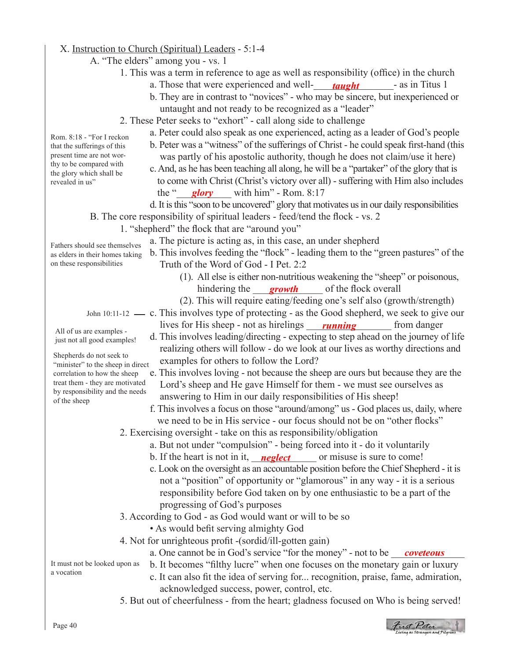# X. Instruction to Church (Spiritual) Leaders - 5:1-4

- A. "The elders" among you vs. 1
	- 1. This was a term in reference to age as well as responsibility (office) in the church
- a. Those that were experienced and well-**\_\_\_\_\_\_\_\_\_\_\_\_\_\_\_\_\_\_\_** as in Titus 1
	- b. They are in contrast to "novices" who may be sincere, but inexperienced or untaught and not ready to be recognized as a "leader"
	- 2. These Peter seeks to "exhort" call along side to challenge
		- a. Peter could also speak as one experienced, acting as a leader of God's people
			- b. Peter was a "witness" of the sufferings of Christ he could speak first-hand (this was partly of his apostolic authority, though he does not claim/use it here)
- c. And, as he has been teaching all along, he will be a "partaker" of the glory that is to come with Christ (Christ's victory over all) - suffering with Him also includes the "**glory** with him" - Rom. 8:17
	- d. It is this "soon to be uncovered" glory that motivates us in our daily responsibilities
	- B. The core responsibility of spiritual leaders feed/tend the flock vs. 2
		- 1. "shepherd" the flock that are "around you"
			- a. The picture is acting as, in this case, an under shepherd
- b. This involves feeding the "flock" leading them to the "green pastures" of the Truth of the Word of God - I Pet. 2:2 Fathers should see themselves as elders in their homes taking
	- (1). All else is either non-nutritious weakening the "sheep" or poisonous, hindering the **growth** of the flock overall
	- (2). This will require eating/feeding one's self also (growth/strength)
	- John 10:11-12  $\_\_$  c. This involves type of protecting as the Good shepherd, we seek to give our
	- *lives* for His sheep not as hirelings *running* from danger d. This involves leading/directing - expecting to step ahead on the journey of life
- realizing others will follow do we look at our lives as worthy directions and examples for others to follow the Lord? "minister" to the sheep in direct
	- e. This involves loving not because the sheep are ours but because they are the Lord's sheep and He gave Himself for them - we must see ourselves as answering to Him in our daily responsibilities of His sheep!
	- f. This involves a focus on those "around/among" us God places us, daily, where we need to be in His service - our focus should not be on "other flocks"
	- 2. Exercising oversight take on this as responsibility/obligation
		- a. But not under "compulsion" being forced into it do it voluntarily
	- b. If the heart is not in it, **neglect** or misuse is sure to come!
		- c. Look on the oversight as an accountable position before the Chief Shepherd it is not a "position" of opportunity or "glamorous" in any way - it is a serious responsibility before God taken on by one enthusiastic to be a part of the progressing of God's purposes
		- 3. According to God as God would want or will to be so
			- As would befit serving almighty God
		- 4. Not for unrighteous profit ‑(sordid/ill-gotten gain)
	- a. One cannot be in God's service "for the money" not to be *coveteous*

It must not be looked upon as a vocation

- b. It becomes "filthy lucre" when one focuses on the monetary gain or luxury
- c. It can also fit the idea of serving for... recognition, praise, fame, admiration, acknowledged success, power, control, etc.

First Peter

5. But out of cheerfulness - from the heart; gladness focused on Who is being served!

Rom. 8:18 - "For I reckon that the sufferings of this present time are not worthy to be compared with the glory which shall be revealed in us"

on these responsibilities

All of us are examples just not all good examples! Shepherds do not seek to

correlation to how the sheep treat them - they are motivated by responsibility and the needs

of the sheep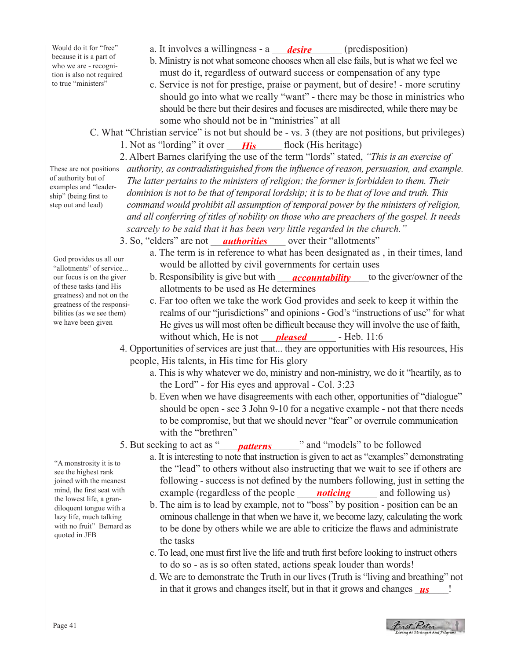Would do it for "free" because it is a part of who we are - recognition is also not required to true "ministers"

- a. It involves a willingness a *\_\_\_\_\_\_\_\_\_\_\_\_\_\_\_\_* (predisposition)
- b. Ministry is not what someone chooses when all else fails, but is what we feel we must do it, regardless of outward success or compensation of any type
- c. Service is not for prestige, praise or payment, but of desire! more scrutiny should go into what we really "want" - there may be those in ministries who should be there but their desires and focuses are misdirected, while there may be some who should not be in "ministries" at all

C. What "Christian service" is not but should be - vs. 3 (they are not positions, but privileges)

1. Not as "lording" it over *His* flock (His heritage)

These are not positions of authority but of examples and "leadership" (being first to step out and lead)

God provides us all our "allotments" of service... our focus is on the giver of these tasks (and His greatness) and not on the greatness of the responsibilities (as we see them) we have been given

- 2. Albert Barnes clarifying the use of the term "lords" stated, *"This is an exercise of authority, as contradistinguished from the influence of reason, persuasion, and example. The latter pertains to the ministers of religion; the former is forbidden to them. Their dominion is not to be that of temporal lordship; it is to be that of love and truth. This command would prohibit all assumption of temporal power by the ministers of religion, and all conferring of titles of nobility on those who are preachers of the gospel. It needs scarcely to be said that it has been very little regarded in the church."*
- 3. So, "elders" are not *\_\_\_\_\_\_\_\_\_\_\_\_\_\_\_\_\_\_\_\_\_\_\_\_\_\_\_\_\_\_* over their "allotments"
	- a. The term is in reference to what has been designated as , in their times, land would be allotted by civil governments for certain uses
- or focus is on the giver b. Responsibility is give but with *accountability* to the giver/owner of the allotments to be used as He determines
- c. Far too often we take the work God provides and seek to keep it within the realms of our "jurisdictions" and opinions - God's "instructions of use" for what He gives us will most often be difficult because they will involve the use of faith, without which, He is not **pleased** - Heb. 11:6
	- 4. Opportunities of services are just that... they are opportunities with His resources, His people, His talents, in His time for His glory
		- a. This is why whatever we do, ministry and non-ministry, we do it "heartily, as to the Lord" - for His eyes and approval - Col. 3:23
		- b. Even when we have disagreements with each other, opportunities of "dialogue" should be open - see 3 John 9-10 for a negative example - not that there needs to be compromise, but that we should never "fear" or overrule communication with the "brethren"
- 5. But seeking to act as "**\_\_\_\_\_\_\_\_\_\_\_\_\_\_\_\_\_\_\_**" and "models" to be followed
	- a. It is interesting to note that instruction is given to act as "examples" demonstrating the "lead" to others without also instructing that we wait to see if others are following - success is not defined by the numbers following, just in setting the example (regardless of the people **noticing** and following us)
	- b. The aim is to lead by example, not to "boss" by position position can be an ominous challenge in that when we have it, we become lazy, calculating the work to be done by others while we are able to criticize the flaws and administrate the tasks
	- c. To lead, one must first live the life and truth first before looking to instruct others to do so - as is so often stated, actions speak louder than words!
- d. We are to demonstrate the Truth in our lives (Truth is "living and breathing" not in that it grows and changes itself, but in that it grows and changes **us**

"A monstrosity it is to see the highest rank joined with the meanest mind, the first seat with the lowest life, a grandiloquent tongue with a lazy life, much talking with no fruit" Bernard as quoted in JFB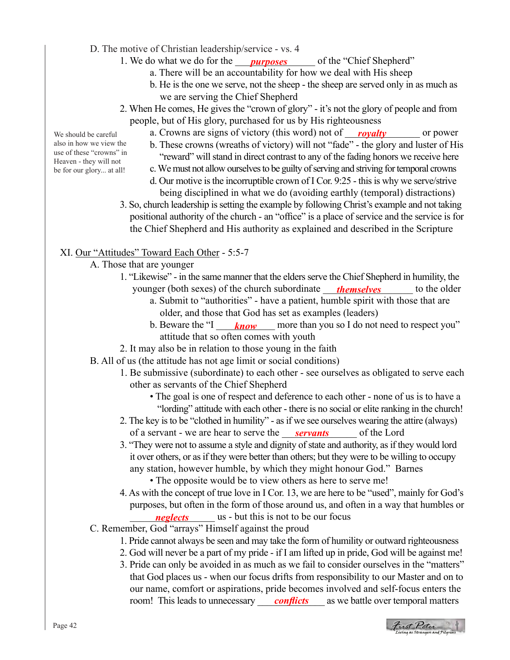- D. The motive of Christian leadership/service vs. 4
	- 1. We do what we do for the *<u>purposes</u>* of the "Chief Shepherd"
		- a. There will be an accountability for how we deal with His sheep
		- b. He is the one we serve, not the sheep the sheep are served only in as much as we are serving the Chief Shepherd
	- 2. When He comes, He gives the "crown of glory" it's not the glory of people and from people, but of His glory, purchased for us by His righteousness
		- a. Crowns are signs of victory (this word) not of <u>royalty</u> compower
			- b. These crowns (wreaths of victory) will not "fade" the glory and luster of His "reward" will stand in direct contrast to any of the fading honors we receive here
			- c. We must not allow ourselves to be guilty of serving and striving for temporal crowns
		- d. Our motive is the incorruptible crown of I Cor. 9:25 this is why we serve/strive being disciplined in what we do (avoiding earthly (temporal) distractions)
	- 3. So, church leadership is setting the example by following Christ's example and not taking positional authority of the church - an "office" is a place of service and the service is for the Chief Shepherd and His authority as explained and described in the Scripture

#### XI. Our "Attitudes" Toward Each Other - 5:5-7

- A. Those that are younger
	- 1. "Likewise" in the same manner that the elders serve the Chief Shepherd in humility, the younger (both sexes) of the church subordinate *hemselves* to the older
		- a. Submit to "authorities" have a patient, humble spirit with those that are older, and those that God has set as examples (leaders)
- b. Beware the "I *know* more than you so I do not need to respect you" attitude that so often comes with youth
	- 2. It may also be in relation to those young in the faith
	- B. All of us (the attitude has not age limit or social conditions)
		- 1. Be submissive (subordinate) to each other see ourselves as obligated to serve each other as servants of the Chief Shepherd
			- The goal is one of respect and deference to each other none of us is to have a "lording" attitude with each other - there is no social or elite ranking in the church!
- 2. The key is to be "clothed in humility" as if we see ourselves wearing the attire (always) of a servant - we are hear to serve the <u>servants</u> of the Lord
	- 3. "They were not to assume a style and dignity of state and authority, as if they would lord it over others, or as if they were better than others; but they were to be willing to occupy any station, however humble, by which they might honour God." Barnes • The opposite would be to view others as here to serve me!
- 4. As with the concept of true love in I Cor. 13, we are here to be "used", mainly for God's purposes, but often in the form of those around us, and often in a way that humbles or **neglects** us - but this is not to be our focus
	- C. Remember, God "arrays" Himself against the proud
		- 1. Pride cannot always be seen and may take the form of humility or outward righteousness
		- 2. God will never be a part of my pride if I am lifted up in pride, God will be against me!
- 3. Pride can only be avoided in as much as we fail to consider ourselves in the "matters" that God places us - when our focus drifts from responsibility to our Master and on to our name, comfort or aspirations, pride becomes involved and self-focus enters the room! This leads to unnecessary <u>conflicts</u> as we battle over temporal matters

First Peter<br>Eiving as strangers and Pilgrin

We should be careful also in how we view the use of these "crowns" in Heaven - they will not be for our glory... at all!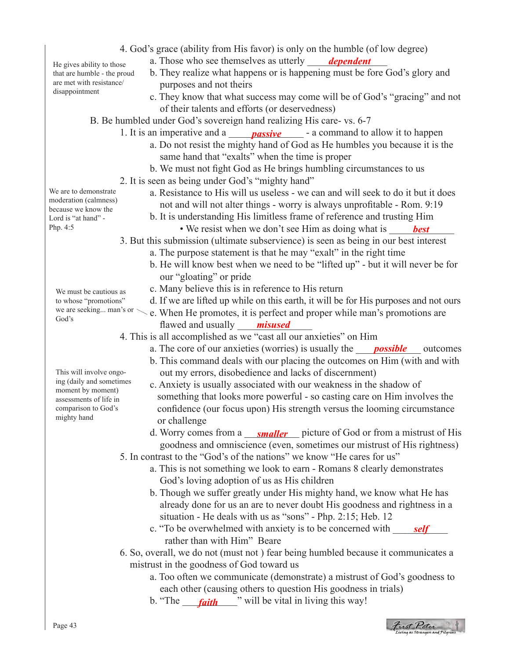4. God's grace (ability from His favor) is only on the humble (of low degree) explores ability to those **a**. Those who see themselves as utterly *dependent*  b. They realize what happens or is happening must be fore God's glory and purposes and not theirs c. They know that what success may come will be of God's "gracing" and not of their talents and efforts (or deservedness) B. Be humbled under God's sovereign hand realizing His care- vs. 6-7 1. It is an imperative and a *passive* - a command to allow it to happen a. Do not resist the mighty hand of God as He humbles you because it is the same hand that "exalts" when the time is proper b. We must not fight God as He brings humbling circumstances to us 2. It is seen as being under God's "mighty hand" a. Resistance to His will us useless - we can and will seek to do it but it does not and will not alter things - worry is always unprofitable - Rom. 9:19 b. It is understanding His limitless frame of reference and trusting Him • We resist when we don't see Him as doing what is *best* 3. But this submission (ultimate subservience) is seen as being in our best interest a. The purpose statement is that he may "exalt" in the right time b. He will know best when we need to be "lifted up" - but it will never be for our "gloating" or pride c. Many believe this is in reference to His return d. If we are lifted up while on this earth, it will be for His purposes and not ours we are seeking... man's or  $\searrow$  e. When He promotes, it is perfect and proper while man's promotions are flawed and usually \_\_\_\_\_\_\_\_\_\_\_\_\_\_\_ *misused* 4. This is all accomplished as we "cast all our anxieties" on Him a. The core of our anxieties (worries) is usually the **possible** outcomes b. This command deals with our placing the outcomes on Him (with and with out my errors, disobedience and lacks of discernment) c. Anxiety is usually associated with our weakness in the shadow of something that looks more powerful - so casting care on Him involves the confidence (our focus upon) His strength versus the looming circumstance or challenge d. Worry comes from a *smaller* picture of God or from a mistrust of His goodness and omniscience (even, sometimes our mistrust of His rightness) 5. In contrast to the "God's of the nations" we know "He cares for us" a. This is not something we look to earn - Romans 8 clearly demonstrates God's loving adoption of us as His children b. Though we suffer greatly under His mighty hand, we know what He has already done for us an are to never doubt His goodness and rightness in a situation - He deals with us as "sons" - Php. 2:15; Heb. 12 c. "To be overwhelmed with anxiety is to be concerned with rather than with Him" Beare 6. So, overall, we do not (must not ) fear being humbled because it communicates a mistrust in the goodness of God toward us a. Too often we communicate (demonstrate) a mistrust of God's goodness to each other (causing others to question His goodness in trials) b. "The **faith** will be vital in living this way! He gives ability to those that are humble - the proud are met with resistance/ disappointment We are to demonstrate moderation (calmness) because we know the Lord is "at hand" - Php. 4:5 We must be cautious as to whose "promotions" God's This will involve ongoing (daily and sometimes moment by moment) assessments of life in comparison to God's mighty hand *self*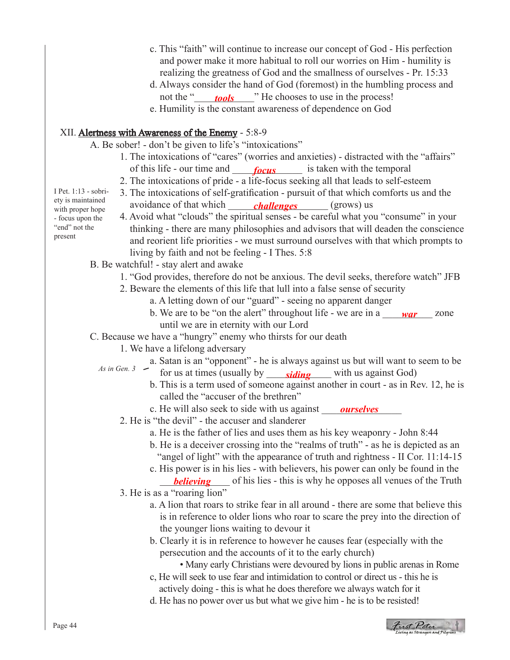- c. This "faith" will continue to increase our concept of God His perfection and power make it more habitual to roll our worries on Him - humility is realizing the greatness of God and the smallness of ourselves - Pr. 15:33
- d. Always consider the hand of God (foremost) in the humbling process and not the "*tools*" He chooses to use in the process!
	- e. Humility is the constant awareness of dependence on God

# XII. Alertness with Awareness of the Enemy - 5:8-9

- A. Be sober! don't be given to life's "intoxications"
- 1. The intoxications of "cares" (worries and anxieties) distracted with the "affairs" of this life - our time and **focus** is taken with the temporal
	- 2. The intoxications of pride a life-focus seeking all that leads to self-esteem
	- 3. The intoxications of self-gratification pursuit of that which comforts us and the
	- avoidance of that which *challenges* (grows) us
- I Pet. 1:13 sobriety is maintained with proper hope - focus upon the "end" not the present
- 4. Avoid what "clouds" the spiritual senses be careful what you "consume" in your thinking - there are many philosophies and advisors that will deaden the conscience and reorient life priorities - we must surround ourselves with that which prompts to living by faith and not be feeling - I Thes. 5:8
- B. Be watchful! stay alert and awake
	- 1. "God provides, therefore do not be anxious. The devil seeks, therefore watch" JFB
	- 2. Beware the elements of this life that lull into a false sense of security
		- a. A letting down of our "guard" seeing no apparent danger
- b. We are to be "on the alert" throughout life we are in a <u>war</u> zone until we are in eternity with our Lord
	- C. Because we have a "hungry" enemy who thirsts for our death
		- 1. We have a lifelong adversary
			- a. Satan is an "opponent" he is always against us but will want to seem to be
		- *As in Gen. 3* for us at times (usually by <u>siding</u> with us against God)
			- b. This is a term used of someone against another in court as in Rev. 12, he is called the "accuser of the brethren"
- c. He will also seek to side with us against \_\_\_\_\_\_\_\_\_\_\_\_\_\_\_\_ *ourselves*
	- 2. He is "the devil" the accuser and slanderer
		- a. He is the father of lies and uses them as his key weaponry John 8:44
		- b. He is a deceiver crossing into the "realms of truth" as he is depicted as an "angel of light" with the appearance of truth and rightness - II Cor. 11:14-15
- c. His power is in his lies with believers, his power can only be found in the **believing** of his lies - this is why he opposes all venues of the Truth
	- 3. He is as a "roaring lion"
		- a. A lion that roars to strike fear in all around there are some that believe this is in reference to older lions who roar to scare the prey into the direction of the younger lions waiting to devour it
		- b. Clearly it is in reference to however he causes fear (especially with the persecution and the accounts of it to the early church)
			- Many early Christians were devoured by lions in public arenas in Rome
		- c, He will seek to use fear and intimidation to control or direct us this he is actively doing - this is what he does therefore we always watch for it
		- d. He has no power over us but what we give him he is to be resisted!

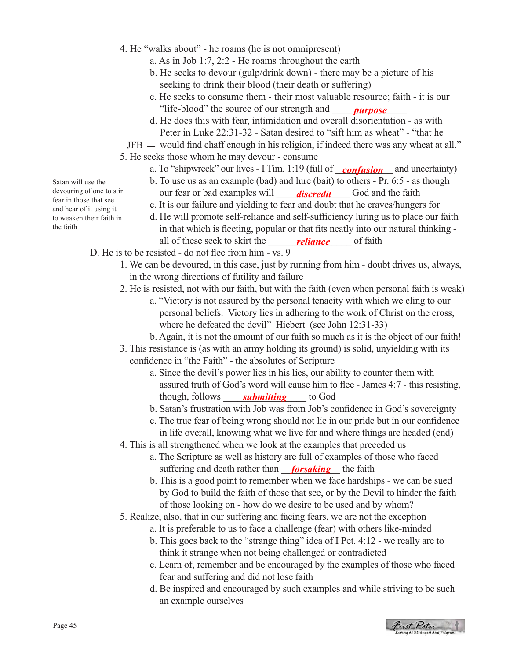- 4. He "walks about" he roams (he is not omnipresent)
	- a. As in Job 1:7, 2:2 He roams throughout the earth
	- b. He seeks to devour (gulp/drink down) there may be a picture of his seeking to drink their blood (their death or suffering)
	- c. He seeks to consume them their most valuable resource; faith it is our "life-blood" the source of our strength and \_\_\_\_\_\_\_\_\_\_\_\_\_\_\_ *purpose*
	- d. He does this with fear, intimidation and overall disorientation as with Peter in Luke 22:31-32 - Satan desired to "sift him as wheat" - "that he
- JFB would find chaff enough in his religion, if indeed there was any wheat at all."
- 5. He seeks those whom he may devour consume
	- a. To "shipwreck" our lives I Tim. 1:19 (full of *confusion* and uncertainty)
- b. To use us as an example (bad) and lure (bait) to others Pr. 6:5 as though vouring of one to stir **our fear or bad examples will** *discredit* God and the faith
	- c. It is our failure and yielding to fear and doubt that he craves/hungers for
- d. He will promote self-reliance and self-sufficiency luring us to place our faith in that which is fleeting, popular or that fits neatly into our natural thinking all of these seek to skirt the *reliance* of faith
	- D. He is to be resisted do not flee from him vs. 9
		- 1. We can be devoured, in this case, just by running from him doubt drives us, always, in the wrong directions of futility and failure
		- 2. He is resisted, not with our faith, but with the faith (even when personal faith is weak)
			- a. "Victory is not assured by the personal tenacity with which we cling to our personal beliefs. Victory lies in adhering to the work of Christ on the cross, where he defeated the devil" Hiebert (see John 12:31-33)
			- b. Again, it is not the amount of our faith so much as it is the object of our faith!
		- 3. This resistance is (as with an army holding its ground) is solid, unyielding with its confidence in "the Faith" - the absolutes of Scripture
- a. Since the devil's power lies in his lies, our ability to counter them with assured truth of God's word will cause him to flee - James 4:7 - this resisting, though, follows <u>submitting</u> to God
	- b. Satan's frustration with Job was from Job's confidence in God's sovereignty
	- c. The true fear of being wrong should not lie in our pride but in our confidence in life overall, knowing what we live for and where things are headed (end)
	- 4. This is all strengthened when we look at the examples that preceded us
- a. The Scripture as well as history are full of examples of those who faced suffering and death rather than **forsaking** the faith
	- b. This is a good point to remember when we face hardships we can be sued by God to build the faith of those that see, or by the Devil to hinder the faith of those looking on - how do we desire to be used and by whom?
	- 5. Realize, also, that in our suffering and facing fears, we are not the exception
		- a. It is preferable to us to face a challenge (fear) with others like-minded
		- b. This goes back to the "strange thing" idea of I Pet. 4:12 we really are to think it strange when not being challenged or contradicted
		- c. Learn of, remember and be encouraged by the examples of those who faced fear and suffering and did not lose faith
		- d. Be inspired and encouraged by such examples and while striving to be such an example ourselves

Satan will use the devouring of one to stir fear in those that see and hear of it using it to weaken their faith in the faith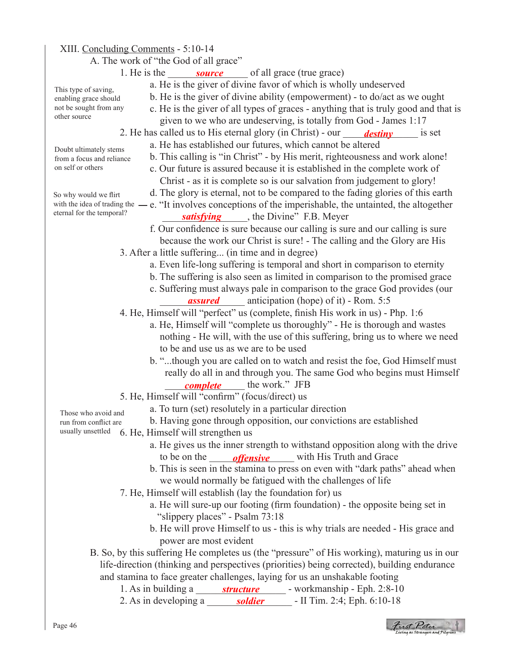#### XIII. Concluding Comments - 5:10-14

This type of saving, enabling grace should not be sought from any

Doubt ultimately stems from a focus and reliance on self or others

So why would we flirt

eternal for the temporal?

other source

- A. The work of "the God of all grace"
	- 1. He is the *source* of all grace (true grace)
		- a. He is the giver of divine favor of which is wholly undeserved
		- b. He is the giver of divine ability (empowerment) to do/act as we ought

 c. He is the giver of all types of graces - anything that is truly good and that is given to we who are undeserving, is totally from God - James 1:17

- 2. He has called us to His eternal glory (in Christ) our <u>destiny</u> is set
	- a. He has established our futures, which cannot be altered
	- b. This calling is "in Christ" by His merit, righteousness and work alone!
	- c. Our future is assured because it is established in the complete work of Christ - as it is complete so is our salvation from judgement to glory!
	- d. The glory is eternal, not to be compared to the fading glories of this earth
- with the idea of trading the  $-$ e. "It involves conceptions of the imperishable, the untainted, the altogether
	- ernal for the temporal?<br>*satisfying*, the Divine" F.B. Meyer
		- f. Our confidence is sure because our calling is sure and our calling is sure because the work our Christ is sure! - The calling and the Glory are His
		- 3. After a little suffering... (in time and in degree)
			- a. Even life-long suffering is temporal and short in comparison to eternity
			- b. The suffering is also seen as limited in comparison to the promised grace
			- c. Suffering must always pale in comparison to the grace God provides (our anticipation (hope) of it) - Rom.  $5:5$ *assured*
		- 4. He, Himself will "perfect" us (complete, finish His work in us) Php. 1:6
			- a. He, Himself will "complete us thoroughly" He is thorough and wastes nothing - He will, with the use of this suffering, bring us to where we need to be and use us as we are to be used
				- b. "...though you are called on to watch and resist the foe, God Himself must really do all in and through you. The same God who begins must Himself
	- \_\_\_\_\_\_\_\_\_\_\_\_\_\_\_\_ the work." JFB *complete*
		- 5. He, Himself will "confirm" (focus/direct) us
			- a. To turn (set) resolutely in a particular direction

Those who avoid and run from conflict are

- 6. He, Himself will strengthen us usually unsettled
- a. He gives us the inner strength to withstand opposition along with the drive to be on the *offensive* with His Truth and Grace

b. Having gone through opposition, our convictions are established

- b. This is seen in the stamina to press on even with "dark paths" ahead when we would normally be fatigued with the challenges of life
- 7. He, Himself will establish (lay the foundation for) us
	- a. He will sure-up our footing (firm foundation) the opposite being set in "slippery places" - Psalm 73:18
	- b. He will prove Himself to us this is why trials are needed His grace and power are most evident
- B. So, by this suffering He completes us (the "pressure" of His working), maturing us in our life-direction (thinking and perspectives (priorities) being corrected), building endurance and stamina to face greater challenges, laying for us an unshakable footing
- 1. As in building a *structure* workmanship Eph. 2:8-10
- 2. As in developing a <u>soldier</u> II Tim. 2:4; Eph. 6:10-18